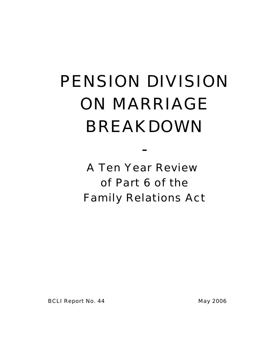# PENSION DIVISION ON MARRIAGE BREAKDOWN

A Ten Year Review of Part 6 of the Family Relations Act

-

BCLI Report No. 44 May 2006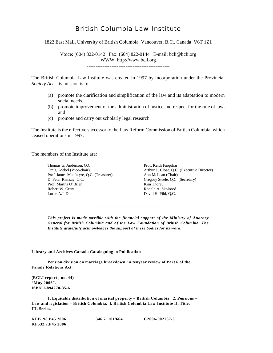## British Columbia Law Institute

1822 East Mall, University of British Columbia, Vancouver, B.C., Canada V6T 1Z1

Voice: (604) 822-0142 Fax: (604) 822-0144 E-mail: bcli@bcli.org WWW: http://www.bcli.org

-----------------------------------------------

The British Columbia Law Institute was created in 1997 by incorporation under the Provincial *Society Act*. Its mission is to:

- (a) promote the clarification and simplification of the law and its adaptation to modern social needs,
- (b) promote improvement of the administration of justice and respect for the rule of law, and
- (c) promote and carry out scholarly legal research.

The Institute is the effective successor to the Law Reform Commission of British Columbia, which ceased operations in 1997.

-----------------------------------------------

The members of the Institute are:

Thomas G. Anderson, Q.C. Prof. Keith Farquhar Prof. James MacIntyre, Q.C. (Treasurer)<br>D. Peter Ramsay, O.C. Prof. Martha O'Brien Kim Thorau Kim Thorau Robert W. Grant Robert W. Grant Lorne A.J. Dunn David H. Pihl, Q.C.

Craig Goebel (Vice-chair) Arthur L. Close, Q.C. (Executive Director) Gregory Steele, Q.C. (Secretary)<br>Kim Thorau

*This project is made possible with the financial support of the Ministry of Attorney General for British Columbia and of the Law Foundation of British Columbia. The Institute gratefully acknowledges the support of these bodies for its work.*

-----------------------------------------------

----------------------------------------

**Library and Archives Canada Cataloguing in Publication**

**Pension division on marriage breakdown : a tenyear review of Part 6 of the Family Relations Act.**

**(BCLI report ; no. 44) "May 2006". ISBN 1-894278-35-6**

**1. Equitable distribution of marital property – British Columbia. 2. Pensions – Law and legislation – British Columbia. I. British Columbia Law Institute II. Title. III. Series.**

**KEB198.P45 2006 346.71101'664 C2006-902787-0 KF532.7.P45 2006**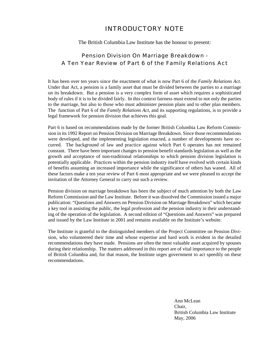## INTRODUCTORY NOTE

#### The British Columbia Law Institute has the honour to present:

## Pension Division On Marriage Breakdown - A Ten Year Review of Part 6 of the Family Relations Act

It has been over ten years since the enactment of what is now Part 6 of the *Family Relations Act*. Under that Act, a pension is a family asset that must be divided between the parties to a marriage on its breakdown. But a pension is a very complex form of asset which requires a sophisticated body of rules if it is to be divided fairly. In this context fairness must extend to not only the parties to the marriage, but also to those who must administer pension plans and to other plan members. The function of Part 6 of the *Family Relations Act*, and its supporting regulations, is to provide a legal framework for pension division that achieves this goal.

Part 6 is based on recommendations made by the former British Columbia Law Reform Commission in its 1992 Report on Pension Division on Marriage Breakdown. Since those recommendations were developed, and the implementing legislation enacted, a number of developments have occurred. The background of law and practice against which Part 6 operates has not remained constant. There have been important changes to pension benefit standards legislation as well as the growth and acceptance of non-traditional relationships to which pension division legislation is potentially applicable. Practices within the pension industry itself have evolved with certain kinds of benefits assuming an increased importance while the significance of others has waned. All of these factors make a ten year review of Part 6 most appropriate and we were pleased to accept the invitation of the Attorney General to carry out such a review.

Pension division on marriage breakdown has been the subject of much attention by both the Law Reform Commission and the Law Institute. Before it was dissolved the Commission issued a major publication: "Questions and Answers on Pension Division on Marriage Breakdown" which became a key tool in assisting the public, the legal profession and the pension industry in their understanding of the operation of the legislation. A second edition of "Questions and Answers" was prepared and issued by the Law Institute in 2001 and remains available on the Institute's website.

The Institute is grateful to the distinguished members of the Project Committee on Pension Division, who volunteered their time and whose expertise and hard work is evident in the detailed recommendations they have made. Pensions are often the most valuable asset acquired by spouses during their relationship. The matters addressed in this report are of vital importance to the people of British Columbia and, for that reason, the Institute urges government to act speedily on these recommendations.

> Ann McLean Chair, British Columbia Law Institute May, 2006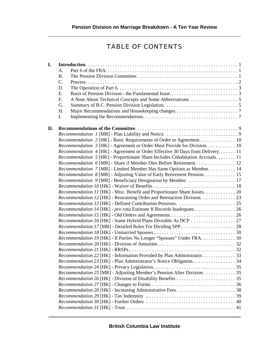## TABLE OF CONTENTS

| I.  |                                                                                      |  |
|-----|--------------------------------------------------------------------------------------|--|
|     | A.                                                                                   |  |
|     | <b>B.</b>                                                                            |  |
|     | $C_{\cdot}$                                                                          |  |
|     | D.                                                                                   |  |
|     | E.                                                                                   |  |
|     | F.                                                                                   |  |
|     | G.                                                                                   |  |
|     | H.                                                                                   |  |
|     | I.                                                                                   |  |
| II. |                                                                                      |  |
|     |                                                                                      |  |
|     |                                                                                      |  |
|     | Recommendation 3 [HK] - Agreement or Order Must Provide for Division. 10             |  |
|     | <i>Recommendation 4</i> [HK] - Agreement or Order Effective 30 Days from Delivery 11 |  |
|     | Recommendation 5 [HK] - Proportionate Share Includes Cohabitation Accruals 11        |  |
|     | Recommendation 6 [MR] - Share if Member Dies Before Retirement.  12                  |  |
|     | Recommendation 7 [MR] - Limited Member Has Same Options as Member. 14                |  |
|     | Recommendation 8 [MR] - Adjusting Value of Early Retirement Pension. 15              |  |
|     |                                                                                      |  |
|     |                                                                                      |  |
|     | Recommendation 11 [HK] - Misc. Benefit and Proportionate Share Issues. 20            |  |
|     | Recommendation 12 [HK] - Restraining Order and Retroactive Division. 23              |  |
|     |                                                                                      |  |
|     |                                                                                      |  |
|     |                                                                                      |  |
|     |                                                                                      |  |
|     |                                                                                      |  |
|     |                                                                                      |  |
|     | Recommendation 19 [HK] - If Parties No Longer "Spouses" Under FRA. 30                |  |
|     |                                                                                      |  |
|     |                                                                                      |  |
|     | Recommendation 22 [HK] - Information Provided by Plan Administrator 33               |  |
|     |                                                                                      |  |
|     |                                                                                      |  |
|     | Recommendation 25 [MR] - Adjusting Member's Pension After Division. 35               |  |
|     |                                                                                      |  |
|     |                                                                                      |  |
|     |                                                                                      |  |
|     |                                                                                      |  |
|     |                                                                                      |  |
|     |                                                                                      |  |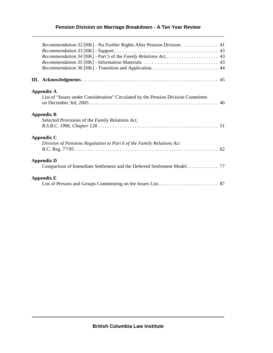## **Pension Division on Marriage Breakdown - A Ten Year Review**

|                   | <i>Recommendation 32</i> [HK] - No Further Rights After Pension Division. 41                           |  |
|-------------------|--------------------------------------------------------------------------------------------------------|--|
|                   |                                                                                                        |  |
|                   | <b>Appendix A</b><br>List of "Issues under Consideration" Circulated by the Pension Division Committee |  |
|                   | <b>Appendix B</b><br>Selected Provisions of the Family Relations Act,                                  |  |
|                   | Appendix C<br>Division of Pensions Regulation to Part 6 of the Family Relations Act                    |  |
|                   | <b>Appendix D</b><br>Comparison of Immediate Settlement and the Deferred Settlement Model 77           |  |
| <b>Appendix E</b> |                                                                                                        |  |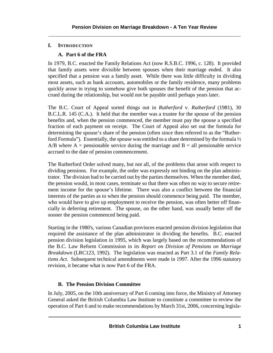## **I. INTRODUCTION**

## **A. Part 6 of the FRA**

In 1979, B.C. enacted the Family Relations Act (now R.S.B.C. 1996, c. 128). It provided that family assets were divisible between spouses when their marriage ended. It also specified that a pension was a family asset. While there was little difficulty in dividing most assets, such as bank accounts, automobiles or the family residence, many problems quickly arose in trying to somehow give both spouses the benefit of the pension that accrued during the relationship, but would not be payable until perhaps years later.

The B.C. Court of Appeal sorted things out in *Rutherford* v. *Rutherford* (1981), 30 B.C.L.R. 145 (C.A.). It held that the member was a trustee for the spouse of the pension benefits and, when the pension commenced, the member must pay the spouse a specified fraction of each payment on receipt. The Court of Appeal also set out the formula for determining the spouse's share of the pension (often since then referred to as the "Rutherford Formula"). Essentially, the spouse was entitled to a share determined by the formula  $\frac{1}{2}$  $A/B$  where  $A =$  pensionable service during the marriage and  $B =$  all pensionable service accrued to the date of pension commencement.

The Rutherford Order solved many, but not all, of the problems that arose with respect to dividing pensions. For example, the order was expressly not binding on the plan administrator. The division had to be carried out by the parties themselves. When the member died, the pension would, in most cases, terminate so that there was often no way to secure retirement income for the spouse's lifetime. There was also a conflict between the financial interests of the parties as to when the pension should commence being paid. The member, who would have to give up employment to receive the pension, was often better off financially in deferring retirement. The spouse, on the other hand, was usually better off the sooner the pension commenced being paid.

Starting in the 1980's, various Canadian provinces enacted pension division legislation that required the assistance of the plan administrator in dividing the benefits. B.C. enacted pension division legislation in 1995, which was largely based on the recommendations of the B.C. Law Reform Commission in its *Report on Division of Pensions on Marriage Breakdown* (LRC123, 1992). The legislation was enacted as Part 3.1 of the *Family Relations Act*. Subsequent technical amendments were made in 1997. After the 1996 statutory revision, it became what is now Part 6 of the FRA.

## **B. The Pension Division Committee**

In July, 2005, on the 10th anniversary of Part 6 coming into force, the Ministry of Attorney General asked the British Columbia Law Institute to constitute a committee to review the operation of Part 6 and to make recommendations by March 31st, 2006, concerning legisla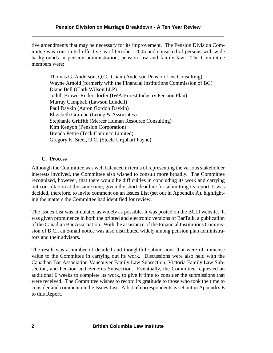tive amendments that may be necessary for its improvement. The Pension Division Committee was constituted effective as of October, 2005 and consisted of persons with wide backgrounds in pension administration, pension law and family law. The Committee members were:

Thomas G. Anderson, Q.C., Chair (Anderson Pension Law Consulting) Wayne Arnold (formerly with the Financial Institutions Commission of BC) Diane Bell (Clark Wilson LLP) Judith Brown-Rudersdorfer (IWA-Forest Industry Pension Plan) Murray Campbell (Lawson Lundell) Paul Daykin (Aaron Gordon Daykin) Elizabeth Gorman (Leong & Associates) Stephanie Griffith (Mercer Human Resource Consulting) Kim Kenyon (Pension Corporation) Brenda Petrie (Teck Cominco Limited) Gregory K. Steel, Q.C. (Steele Urquhart Payne)

## **C. Process**

Although the Committee was well balanced in terms of representing the various stakeholder interests involved, the Committee also wished to consult more broadly. The Committee recognized, however, that there would be difficulties in concluding its work and carrying out consultation at the same time, given the short deadline for submitting its report. It was decided, therefore, to invite comment on an Issues List (set out in Appendix A), highlighting the matters the Committee had identified for review.

The Issues List was circulated as widely as possible. It was posted on the BCLI website. It was given prominence in both the printed and electronic versions of BarTalk, a publication of the Canadian Bar Association. With the assistance of the Financial Institutions Commission of B.C., an e-mail notice was also distributed widely among pension plan administrators and their advisors.

The result was a number of detailed and thoughtful submissions that were of immense value to the Committee in carrying out its work. Discussions were also held with the Canadian Bar Association Vancouver Family Law Subsection, Victoria Family Law Subsection, and Pension and Benefits Subsection. Eventually, the Committee requested an additional 6 weeks to complete its work, to give it time to consider the submissions that were received. The Committee wishes to record its gratitude to those who took the time to consider and comment on the Issues List. A list of correspondents is set out in Appendix E to this Report.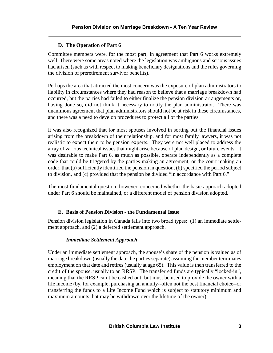## **D. The Operation of Part 6**

Committee members were, for the most part, in agreement that Part 6 works extremely well. There were some areas noted where the legislation was ambiguous and serious issues had arisen (such as with respect to making beneficiary designations and the rules governing the division of preretirement survivor benefits).

Perhaps the area that attracted the most concern was the exposure of plan administrators to liability in circumstances where they had reason to believe that a marriage breakdown had occurred, but the parties had failed to either finalize the pension division arrangements or, having done so, did not think it necessary to notify the plan administrator. There was unanimous agreement that plan administrators should not be at risk in these circumstances, and there was a need to develop procedures to protect all of the parties.

It was also recognized that for most spouses involved in sorting out the financial issues arising from the breakdown of their relationship, and for most family lawyers, it was not realistic to expect them to be pension experts. They were not well placed to address the array of various technical issues that might arise because of plan design, or future events. It was desirable to make Part 6, as much as possible, operate independently as a complete code that could be triggered by the parties making an agreement, or the court making an order, that (a) sufficiently identified the pension in question, (b) specified the period subject to division, and (c) provided that the pension be divided "in accordance with Part 6."

The most fundamental question, however, concerned whether the basic approach adopted under Part 6 should be maintained, or a different model of pension division adopted.

## **E. Basis of Pension Division - the Fundamental Issue**

Pension division legislation in Canada falls into two broad types: (1) an immediate settlement approach, and (2) a deferred settlement approach.

## *Immediate Settlement Approach*

Under an immediate settlement approach, the spouse's share of the pension is valued as of marriage breakdown (usually the date the parties separate) assuming the member terminates employment on that date and retires (usually at age 65). This value is then transferred to the credit of the spouse, usually to an RRSP. The transferred funds are typically "locked-in", meaning that the RRSP can't be cashed out, but must be used to provide the owner with a life income (by, for example, purchasing an annuity--often not the best financial choice--or transferring the funds to a Life Income Fund which is subject to statutory minimum and maximum amounts that may be withdrawn over the lifetime of the owner).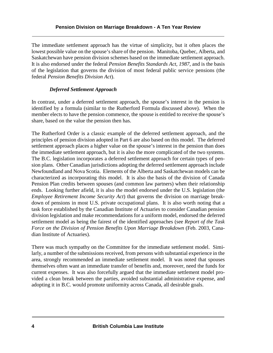The immediate settlement approach has the virtue of simplicity, but it often places the lowest possible value on the spouse's share of the pension. Manitoba, Quebec, Alberta, and Saskatchewan have pension division schemes based on the immediate settlement approach. It is also endorsed under the federal *Pension Benefits Standards Act, 1987*, and is the basis of the legislation that governs the division of most federal public service pensions (the federal *Pension Benefits Division Act*).

## *Deferred Settlement Approach*

In contrast, under a deferred settlement approach, the spouse's interest in the pension is identified by a formula (similar to the Rutherford Formula discussed above). When the member elects to have the pension commence, the spouse is entitled to receive the spouse's share, based on the value the pension then has.

The Rutherford Order is a classic example of the deferred settlement approach, and the principles of pension division adopted in Part 6 are also based on this model. The deferred settlement approach places a higher value on the spouse's interest in the pension than does the immediate settlement approach, but it is also the more complicated of the two systems. The B.C. legislation incorporates a deferred settlement approach for certain types of pension plans. Other Canadian jurisdictions adopting the deferred settlement approach include Newfoundland and Nova Scotia. Elements of the Alberta and Saskatchewan models can be characterized as incorporating this model. It is also the basis of the division of Canada Pension Plan credits between spouses (and common law partners) when their relationship ends. Looking further afield, it is also the model endorsed under the U.S. legislation (the *Employee Retirement Income Security Act*) that governs the division on marriage breakdown of pensions in most U.S. private occupational plans. It is also worth noting that a task force established by the Canadian Institute of Actuaries to consider Canadian pension division legislation and make recommendations for a uniform model, endorsed the deferred settlement model as being the fairest of the identified approaches (see *Report of the Task Force on the Division of Pension Benefits Upon Marriage Breakdown* (Feb. 2003, Canadian Institute of Actuaries).

There was much sympathy on the Committee for the immediate settlement model. Similarly, a number of the submissions received, from persons with substantial experience in the area, strongly recommended an immediate settlement model. It was noted that spouses themselves often want an immediate transfer of benefits and, moreover, need the funds for current expenses. It was also forcefully argued that the immediate settlement model provided a clean break between the parties, avoided substantial administrative expense, and adopting it in B.C. would promote uniformity across Canada, all desirable goals.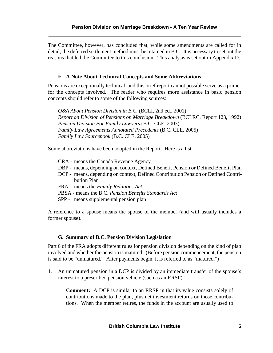The Committee, however, has concluded that, while some amendments are called for in detail, the deferred settlement method must be retained in B.C. It is necessary to set out the reasons that led the Committee to this conclusion. This analysis is set out in Appendix D.

## **F. A Note About Technical Concepts and Some Abbreviations**

Pensions are exceptionally technical, and this brief report cannot possible serve as a primer for the concepts involved. The reader who requires more assistance in basic pension concepts should refer to some of the following sources:

*Q&A About Pension Division in B.C.* (BCLI, 2nd ed., 2001) *Report on Division of Pensions on Marriage Breakdown* (BCLRC, Report 123, 1992) *Pension Division For Family Lawyers* (B.C. CLE, 2003) *Family Law Agreements Annotated Precedents* (B.C. CLE, 2005) *Family Law Sourcebook* (B.C. CLE, 2005)

Some abbreviations have been adopted in the Report. Here is a list:

- CRA means the Canada Revenue Agency
- DBP means, depending on context, Defined Benefit Pension or Defined Benefit Plan
- DCP means, depending on context, Defined Contribution Pension or Defined Contribution Plan
- FRA means the *Family Relations Act*
- PBSA means the B.C. *Pension Benefits Standards Act*
- SPP means supplemental pension plan

A reference to a spouse means the spouse of the member (and will usually includes a former spouse).

## **G. Summary of B.C. Pension Division Legislation**

Part 6 of the FRA adopts different rules for pension division depending on the kind of plan involved and whether the pension is matured. (Before pension commencement, the pension is said to be "unmatured." After payments begin, it is referred to as "matured.")

1. An unmatured pension in a DCP is divided by an immediate transfer of the spouse's interest to a prescribed pension vehicle (such as an RRSP).

**Comment:** A DCP is similar to an RRSP in that its value consists solely of contributions made to the plan, plus net investment returns on those contributions. When the member retires, the funds in the account are usually used to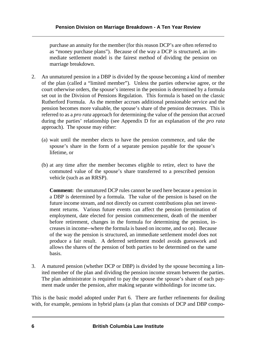purchase an annuity for the member (for this reason DCP's are often referred to as "money purchase plans"). Because of the way a DCP is structured, an immediate settlement model is the fairest method of dividing the pension on marriage breakdown.

- 2. An unmatured pension in a DBP is divided by the spouse becoming a kind of member of the plan (called a "limited member"). Unless the parties otherwise agree, or the court otherwise orders, the spouse's interest in the pension is determined by a formula set out in the Division of Pensions Regulation. This formula is based on the classic Rutherford Formula. As the member accrues additional pensionable service and the pension becomes more valuable, the spouse's share of the pension decreases. This is referred to as a *pro rata* approach for determining the value of the pension that accrued during the parties' relationship (see Appendix D for an explanation of the *pro rata* approach). The spouse may either:
	- (a) wait until the member elects to have the pension commence, and take the spouse's share in the form of a separate pension payable for the spouse's lifetime, or
	- (b) at any time after the member becomes eligible to retire, elect to have the commuted value of the spouse's share transferred to a prescribed pension vehicle (such as an RRSP).

**Comment:** the unmatured DCP rules cannot be used here because a pension in a DBP is determined by a formula. The value of the pension is based on the future income stream, and not directly on current contributions plus net investment returns. Various future events can affect the pension (termination of employment, date elected for pension commencement, death of the member before retirement, changes in the formula for determining the pension, increases in income--where the formula is based on income, and so on). Because of the way the pension is structured, an immediate settlement model does not produce a fair result. A deferred settlement model avoids guesswork and allows the shares of the pension of both parties to be determined on the same basis.

3. A matured pension (whether DCP or DBP) is divided by the spouse becoming a limited member of the plan and dividing the pension income stream between the parties. The plan administrator is required to pay the spouse the spouse's share of each payment made under the pension, after making separate withholdings for income tax.

This is the basic model adopted under Part 6. There are further refinements for dealing with, for example, pensions in hybrid plans (a plan that consists of DCP and DBP compo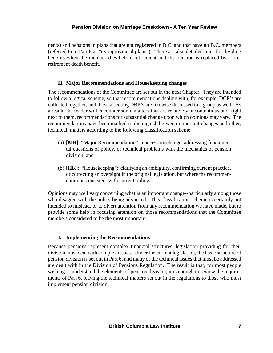nents) and pensions in plans that are not registered in B.C. and that have no B.C. members (referred to in Part 6 as "extraprovincial plans"). There are also detailed rules for dividing benefits when the member dies before retirement and the pension is replaced by a preretirement death benefit.

## **H. Major Recommendations and Housekeeping changes**

The recommendations of the Committee are set out in the next Chapter. They are intended to follow a logical scheme, so that recommendations dealing with, for example, DCP's are collected together, and those affecting DBP's are likewise discussed in a group as well. As a result, the reader will encounter some matters that are relatively uncontentious and, right next to them, recommendations for substantial change upon which opinions may vary. The recommendations have been marked to distinguish between important changes and other, technical, matters according to the following classification scheme:

- (a) **[MR]**: "Major Recommendation": a necessary change, addressing fundamental questions of policy, or technical problems with the mechanics of pension division, and
- (b) **[HK]**: "Housekeeping": clarifying an ambiguity, confirming current practice, or correcting an oversight in the original legislation, but where the recommendation is consistent with current policy.

Opinions may well vary concerning what is an important change--particularly among those who disagree with the policy being advanced. This classification scheme is certainly not intended to mislead, or to divert attention from any recommendation we have made, but to provide some help in focusing attention on those recommendations that the Committee members considered to be the most important.

## **I. Implementing the Recommendations**

Because pensions represent complex financial structures, legislation providing for their division must deal with complex issues. Under the current legislation, the basic structure of pension division is set out in Part 6, and many of the technical issues that must be addressed are dealt with in the Division of Pensions Regulation. The result is that, for most people wishing to understand the elements of pension division, it is enough to review the requirements of Part 6, leaving the technical matters set out in the regulations to those who must implement pension division.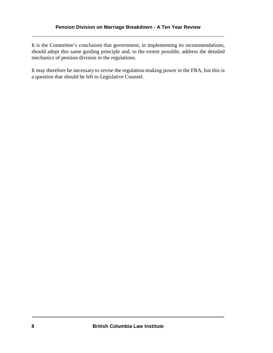It is the Committee's conclusion that government, in implementing its recommendations, should adopt this same guiding principle and, to the extent possible, address the detailed mechanics of pension division in the regulations.

It may therefore be necessary to revise the regulation-making power in the FRA, but this is a question that should be left to Legislative Counsel.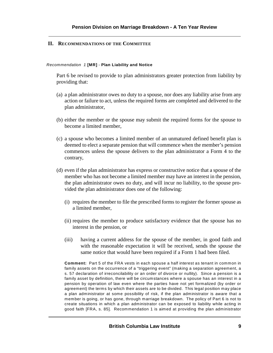## **II. RECOMMENDATIONS OF THE COMMITTEE**

#### *Recommendation 1* **[MR]** - **Plan Liability and Notice**

Part 6 be revised to provide to plan administrators greater protection from liability by providing that:

- (a) a plan administrator owes no duty to a spouse, nor does any liability arise from any action or failure to act, unless the required forms are completed and delivered to the plan administrator,
- (b) either the member or the spouse may submit the required forms for the spouse to become a limited member,
- (c) a spouse who becomes a limited member of an unmatured defined benefit plan is deemed to elect a separate pension that will commence when the member's pension commences unless the spouse delivers to the plan administrator a Form 4 to the contrary,
- (d) even if the plan administrator has express or constructive notice that a spouse of the member who has not become a limited member may have an interest in the pension, the plan administrator owes no duty, and will incur no liability, to the spouse provided the plan administrator does one of the following:
	- (i) requires the member to file the prescribed forms to register the former spouse as a limited member,
	- (ii) requires the member to produce satisfactory evidence that the spouse has no interest in the pension, or
	- (iii) having a current address for the spouse of the member, in good faith and with the reasonable expectation it will be received, sends the spouse the same notice that would have been required if a Form 1 had been filed.

**Comment:** Part 5 of the FRA vests in each spouse a half interest as tenant in common in family assets on the occurrence of a "triggering event" (making a separation agreement, a s. 57 declaration of irreconcilability or an order of divorce or nullity). Since a pension is a family asset by definition, there will be circumstances where a spouse has an interest in a pension by operation of law even where the parties have not yet formalized (by order or agreement) the terms by which their assets are to be divided. This legal position may place a plan administrator at some possibility of risk, if the plan administrator is aware that a member is going, or has gone, through marriage breakdown. The policy of Part 6 is not to create situations in which a plan administrator can be exposed to liability while acting in good faith [FRA, s. 85]. Recommendation 1 is aimed at providing the plan administrator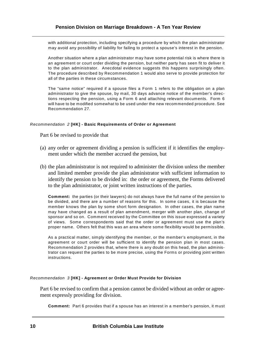with additional protection, including specifying a procedure by which the plan administrator may avoid any possibility of liability for failing to protect a spouse's interest in the pension.

Another situation where a plan administrator may have some potential risk is where there is an agreement or court order dividing the pension, but neither party has seen fit to deliver it to the plan administrator. Anecdotal evidence suggests this happens surprisingly often. The procedure described by Recommendation 1 would also serve to provide protection for all of the parties in these circumstances.

The "same notice" required if a spouse files a Form 1 refers to the obligation on a plan administrator to give the spouse, by mail, 30 days advance notice of the member's directions respecting the pension, using a Form 6 and attaching relevant documents. Form 6 will have to be modified somewhat to be used under the new recommended procedure. See Recommendation 27.

#### *Recommendation 2* **[HK] - Basic Requirements of Order or Agreement**

Part 6 be revised to provide that

- (a) any order or agreement dividing a pension is sufficient if it identifies the employment under which the member accrued the pension, but
- (b) the plan administrator is not required to administer the division unless the member and limited member provide the plan administrator with sufficient information to identify the pension to be divided in: the order or agreement, the Forms delivered to the plan administrator, or joint written instructions of the parties.

**Comment:** the parties (or their lawyers) do not always have the full name of the pension to be divided, and there are a number of reasons for this. In some cases, it is because the member knows the plan by some short form designation. In other cases, the plan name may have changed as a result of plan amendment, merger with another plan, change of sponsor and so on. Comment received by the Committee on this issue expressed a variety of views. Some correspondents said that the order or agreement must use the plan's proper name. Others felt that this was an area where some flexibility would be permissible.

As a practical matter, simply identifying the member, or the member's employment, in the agreement or court order will be sufficient to identify the pension plan in most cases. Recommendation 2 provides that, where there is any doubt on this head, the plan administrator can request the parties to be more precise, using the Forms or providing joint written instructions.

#### *Recommendation 3* **[HK] - Agreement or Order Must Provide for Division**

Part 6 be revised to confirm that a pension cannot be divided without an order or agreement expressly providing for division.

**Comment:** Part 6 provides that if a spouse has an interest in a member's pension, it must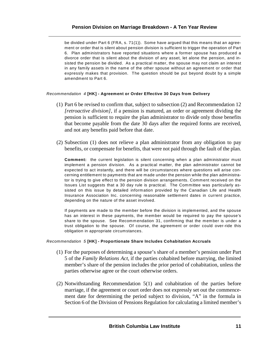## **Pension Division on Marriage Breakdown - A Ten Year Review**

be divided under Part 6 (FRA, s. 71(1)). Some have argued that this means that an agreement or order that is silent about pension division is sufficient to trigger the operation of Part 6. Plan administrators have reported situations where a former spouse has produced a divorce order that is silent about the division of any asset, let alone the pension, and insisted the pension be divided. As a practical matter, the spouse may not claim an interest in any family assets in the name of the other spouse without an agreement or order that expressly makes that provision. The question should be put beyond doubt by a simple amendment to Part 6.

#### *Recommendation 4* **[HK] - Agreement or Order Effective 30 Days from Delivery**

- (1) Part 6 be revised to confirm that, subject to subsection (2) and Recommendation 12 *[retroactive division]*, if a pension is matured, an order or agreement dividing the pension is sufficient to require the plan administrator to divide only those benefits that become payable from the date 30 days after the required forms are received, and not any benefits paid before that date.
- (2) Subsection (1) does not relieve a plan administrator from any obligation to pay benefits, or compensate for benefits, that were not paid through the fault of the plan.

**Comment:** the current legislation is silent concerning when a plan administrator must implement a pension division. As a practical matter, the plan administrator cannot be expected to act instantly, and there will be circumstances where questions will arise concerning entitlement to payments that are made under the pension while the plan administrator is trying to give effect to the pension division arrangements. Comment received on the Issues List suggests that a 30 day rule is practical. The Committee was particularly assisted on this issue by detailed information provided by the Canadian Life and Health Insurance Association Inc. concerning reasonable settlement dates in current practice, depending on the nature of the asset involved.

If payments are made to the member before the division is implemented, and the spouse has an interest in these payments, the member would be required to pay the spouse's share to the spouse. See Recommendation 31, confirming that the member is under a trust obligation to the spouse. Of course, the agreement or order could over-ride this obligation in appropriate circumstances.

#### *Recommendation 5* **[HK] - Proportionate Share Includes Cohabitation Accruals**

- (1) For the purposes of determining a spouse's share of a member's pension under Part 5 of the *Family Relations Act*, if the parties cohabited before marrying, the limited member's share of the pension includes the prior period of cohabitation, unless the parties otherwise agree or the court otherwise orders.
- (2) Notwithstanding Recommendation 5(1) and cohabitation of the parties before marriage, if the agreement or court order does not expressly set out the commencement date for determining the period subject to division, "A" in the formula in Section 6 of the Division of Pensions Regulation for calculating a limited member's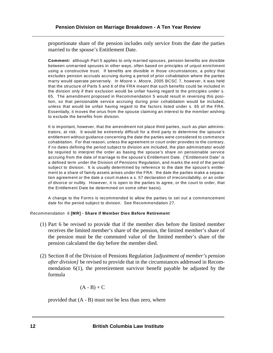proportionate share of the pension includes only service from the date the parties married to the spouse's Entitlement Date.

**Comment:** although Part 5 applies to only married spouses, pension benefits are divisible between unmarried spouses in other ways, often based on principles of unjust enrichment using a constructive trust. If benefits are divisible in those circumstances, a policy that excludes pension accruals accruing during a period of prior cohabitation where the parties marry would operate perversely. In *Moore* v. *Moore*, 2005 BCSC 7, however, it was held that the structure of Parts 5 and 6 of the FRA meant that such benefits could be included in the division only if their exclusion would be unfair having regard to the principles under s. 65. The amendment proposed in Recommendation 5 would result in reversing this position, so that pensionable service accruing during prior cohabitation would be included, unless that would be unfair having regard to the factors listed under s. 65 of the FRA. Essentially, it moves the onus from the spouse claiming an interest to the member wishing to exclude the benefits from division.

It is important, however, that the amendment not place third parties, such as plan administrators, at risk. It would be extremely difficult for a third party to determine the spouse's entitlement without guidance concerning the date the parties were considered to commence cohabitation. For that reason, unless the agreement or court order provides to the contrary, if no dates defining the period subject to division are included, the plan administrator would be required to interpret the order as basing the spouse's share on pensionable service accruing from the date of marriage to the spouse's Entitlement Date. ("Entitlement Date" is a defined term under the Division of Pensions Regulation, and marks the end of the period subject to division. It is usually determined by reference to the date the spouse's entitlement to a share of family assets arises under the FRA: the date the parties make a separation agreement or the date a court makes a s. 57 declaration of irreconcilability, or an order of divorce or nullity. However, it is open to the parties to agree, or the court to order, that the Entitlement Date be determined on some other basis).

A change to the Forms is recommended to allow the parties to set out a commencement date for the period subject to division. See Recommendation 27.

#### *Recommendation 6* **[MR] - Share if Member Dies Before Retirement**

- (1) Part 6 be revised to provide that if the member dies before the limited member receives the limited member's share of the pension, the limited member's share of the pension must be the commuted value of the limited member's share of the pension calculated the day before the member died.
- (2) Section 8 of the Division of Pensions Regulation *[adjustment of member's pension after division]* be revised to provide that in the circumstances addressed in Recommendation 6(1), the preretirement survivor benefit payable be adjusted by the formula

$$
(A - B) + C
$$

provided that (A - B) must not be less than zero, where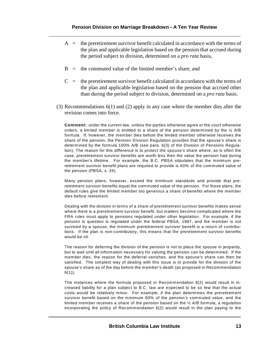- $A =$  the preretirement survivor benefit calculated in accordance with the terms of the plan and applicable legislation based on the pension that accrued during the period subject to division, determined on a *pro rata* basis,
- $B =$  the commuted value of the limited member's share, and
- $C =$  the preretirement survivor benefit calculated in accordance with the terms of the plan and applicable legislation based on the pension that accrued other than during the period subject to division, determined on a *pro rata* basis.
- (3) Recommendations 6(1) and (2) apply in any case where the member dies after the revision comes into force.

**Comment:** under the current law, unless the parties otherwise agree or the court otherwise orders, a limited member is entitled to a share of the pension determined by the  $\frac{1}{2}$  A/B formula. If, however, the member dies before the limited member otherwise receives the share of the pension, the Pension Division Regulation provides that the spouse's share is determined by the formula 100% A/B (see para. 6(3) of the Division of Pensions Regulation). The reason for this difference is to protect the spouse's share where, as is often the case, preretirement survivor benefits are worth less then the value the pension had during the member's lifetime. For example, the B.C. PBSA stipulates that the minimum preretirement survivor benefit plans are required to provide is 60% of the commuted value of the pension (PBSA, s. 34).

Many pension plans, however, exceed the minimum standards and provide that preretirement survivor benefits equal the commuted value of the pension. For those plans, the default rules give the limited member too generous a share of benefits where the member dies before retirement.

Dealing with the division in terms of a share of preretirement survivor benefits makes sense where there is a preretirement survivor benefit, but matters become complicated where the FRA rules must apply to pensions regulated under other legislation. For example, if the pension in question is regulated under the federal PBSA, 1987, and the member is not survived by a spouse, the minimum preretirement survivor benefit is a return of contributions. If the plan is non-contributory, this means that the preretirement survivor benefits would be nil.

The reason for deferring the division of the pension is not to place the spouse in jeopardy, but to wait until all information necessary for valuing the pension can be determined. If the member dies, the reason for the deferral vanishes, and the spouse's share can then be satisfied. The simplest way of dealing with this issue is to provide for the division of the spouse's share as of the day before the member's death (as proposed in Recommendation  $6(1)$ ).

The instances where the formula proposed in Recommendation 6(2) would result in increased liability for a plan subject to B.C. law are expected to be so few that the actual costs would be relatively minor. For example, if the plan determines the preretirement survivor benefit based on the minimum 60% of the pension's commuted value, and the limited member receives a share of the pension based on the  $\frac{1}{2}$  A/B formula, a regulation incorporating the policy of Recommendation 6(2) would result in the plan paying to the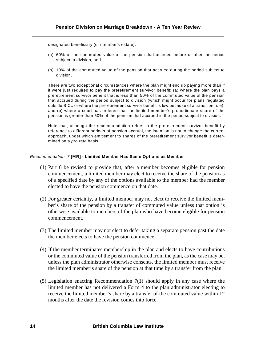designated beneficiary (or member's estate):

- (a) 60% of the commuted value of the pension that accrued before or after the period subject to division, and
- (b) 10% of the commuted value of the pension that accrued during the period subject to division.

There are two exceptional circumstances where the plan might end up paying more than if it were just required to pay the preretirement survivor benefit: (a) where the plan pays a preretirement survivor benefit that is less than 50% of the commuted value of the pension that accrued during the period subject to division (which might occur for plans regulated outside B.C., or where the preretirement survivor benefit is low because of a transition rule), and (b) where a court has ordered that the limited member's proportionate share of the pension is greater than 50% of the pension that accrued in the period subject to division.

Note that, although the recommendation refers to the preretirement survivor benefit by reference to different periods of pension accrual, the intention is not to change the current approach, under which entitlement to shares of the preretirement survivor benefit is determined on a *pro rata* basis.

#### *Recommendation 7* **[MR] - Limited Member Has Same Options as Member**

- (1) Part 6 be revised to provide that, after a member becomes eligible for pension commencement, a limited member may elect to receive the share of the pension as of a specified date by any of the options available to the member had the member elected to have the pension commence on that date.
- (2) For greater certainty, a limited member may not elect to receive the limited member's share of the pension by a transfer of commuted value unless that option is otherwise available to members of the plan who have become eligible for pension commencement.
- (3) The limited member may not elect to defer taking a separate pension past the date the member elects to have the pension commence.
- (4) If the member terminates membership in the plan and elects to have contributions or the commuted value of the pension transferred from the plan, as the case may be, unless the plan administrator otherwise consents, the limited member must receive the limited member's share of the pension at that time by a transfer from the plan.
- (5) Legislation enacting Recommendation 7(1) should apply in any case where the limited member has not delivered a Form 4 to the plan administrator electing to receive the limited member's share by a transfer of the commuted value within 12 months after the date the revision comes into force.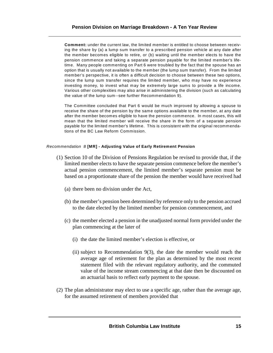**Comment:** under the current law, the limited member is entitled to choose between receiving the share by (a) a lump sum transfer to a prescribed pension vehicle at any date after the member becomes eligible to retire, or (b) waiting until the member elects to have the pension commence and taking a separate pension payable for the limited member's lifetime. Many people commenting on Part 6 were troubled by the fact that the spouse has an option that is usually not available to the member (the lump sum transfer). From the limited member's perspective, it is often a difficult decision to choose between these two options, since the lump sum transfer requires the limited member, who may have no experience investing money, to invest what may be extremely large sums to provide a life income. Various other complexities may also arise in administering the division (such as calculating the value of the lump sum--see further Recommendation 9).

The Committee concluded that Part 6 would be much improved by allowing a spouse to receive the share of the pension by the same options available to the member, at any date after the member becomes eligible to have the pension commence. In most cases, this will mean that the limited member will receive the share in the form of a separate pension payable for the limited member's lifetime. This is consistent with the original recommendations of the BC Law Reform Commission.

#### *Recommendation 8* **[MR] - Adjusting Value of Early Retirement Pension**

- (1) Section 10 of the Division of Pensions Regulation be revised to provide that, if the limited member elects to have the separate pension commence before the member's actual pension commencement, the limited member's separate pension must be based on a proportionate share of the pension the member would have received had
	- (a) there been no division under the Act,
	- (b) the member's pension been determined by reference only to the pension accrued to the date elected by the limited member for pension commencement, and
	- (c) the member elected a pension in the unadjusted normal form provided under the plan commencing at the later of
		- (i) the date the limited member's election is effective, or
		- (ii) subject to Recommendation 9(3), the date the member would reach the average age of retirement for the plan as determined by the most recent statement filed with the relevant regulatory authority, and the commuted value of the income stream commencing at that date then be discounted on an actuarial basis to reflect early payment to the spouse.
- (2) The plan administrator may elect to use a specific age, rather than the average age, for the assumed retirement of members provided that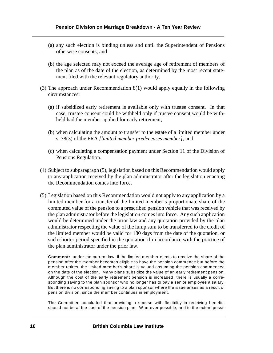- (a) any such election is binding unless and until the Superintendent of Pensions otherwise consents, and
- (b) the age selected may not exceed the average age of retirement of members of the plan as of the date of the election, as determined by the most recent statement filed with the relevant regulatory authority.
- (3) The approach under Recommendation 8(1) would apply equally in the following circumstances:
	- (a) if subsidized early retirement is available only with trustee consent. In that case, trustee consent could be withheld only if trustee consent would be withheld had the member applied for early retirement,
	- (b) when calculating the amount to transfer to the estate of a limited member under s. 78(3) of the FRA *[limited member predeceases member]*, and
	- (c) when calculating a compensation payment under Section 11 of the Division of Pensions Regulation.
- (4) Subject to subparagraph (5), legislation based on this Recommendation would apply to any application received by the plan administrator after the legislation enacting the Recommendation comes into force.
- (5) Legislation based on this Recommendation would not apply to any application by a limited member for a transfer of the limited member's proportionate share of the commuted value of the pension to a prescribed pension vehicle that was received by the plan administrator before the legislation comes into force. Any such application would be determined under the prior law and any quotation provided by the plan administrator respecting the value of the lump sum to be transferred to the credit of the limited member would be valid for 180 days from the date of the quotation, or such shorter period specified in the quotation if in accordance with the practice of the plan administrator under the prior law.

**Comment:** under the current law, if the limited member elects to receive the share of the pension after the member becomes eligible to have the pension commence but before the member retires, the limited member's share is valued assuming the pension commenced on the date of the election. Many plans subsidize the value of an early retirement pension. Although the cost of the early retirement pension is increased, there is usually a corresponding saving to the plan sponsor who no longer has to pay a senior employee a salary. But there is no corresponding saving to a plan sponsor where the issue arises as a result of pension division, since the member continues in employment.

The Committee concluded that providing a spouse with flexibility in receiving benefits should not be at the cost of the pension plan. W herever possible, and to the extent possi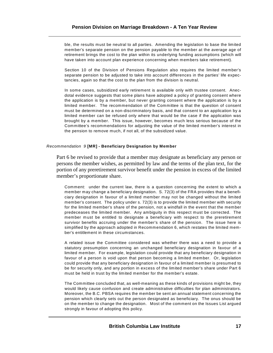ble, the results must be neutral to all parties. Amending the legislation to base the limited member's separate pension on the pension payable to the member at the average age of retirement brings the cost to the plan within its underlying funding assumptions (which will have taken into account plan experience concerning when members take retirement).

Section 10 of the Division of Pensions Regulation also requires the limited member's separate pension to be adjusted to take into account differences in the parties' life expectancies, again so that the cost to the plan from the division is neutral.

In some cases, subsidized early retirement is available only with trustee consent. Anecdotal evidence suggests that some plans have adopted a policy of granting consent where the application is by a member, but never granting consent where the application is by a limited member. The recommendation of the Committee is that the question of consent must be determined on a non-discriminatory basis, and that consent to an application by a limited member can be refused only where that would be the case if the application was brought by a member. This issue, however, becomes much less serious because of the Committee's recommendations for adjusting the value of the limited member's interest in the pension to remove much, if not all, of the subsidized value.

#### *Recommendation 9* **[MR] - Beneficiary Designation by Member**

Part 6 be revised to provide that a member may designate as beneficiary any person or persons the member wishes, as permitted by law and the terms of the plan text, for the portion of any preretirement survivor benefit under the pension in excess of the limited member's proportionate share.

Comment: under the current law, there is a question concerning the extent to which a member may change a beneficiary designation. S. 72(3) of the FRA provides that a beneficiary designation in favour of a limited member may not be changed without the limited member's consent. The policy under s. 72(3) is to provide the limited member with security for the limited member's share of the pension, not a windfall in the event that the member predeceases the limited member. Any ambiguity in this respect must be corrected. The member must be entitled to designate a beneficiary with respect to the preretirement survivor benefits accruing under the member's share of the pension. The issue here is simplified by the approach adopted in Recommendation 6, which restates the limited member's entitlement in these circumstances.

A related issue the Committee considered was whether there was a need to provide a statutory presumption concerning an unchanged beneficiary designation in favour of a limited member. For example, legislation could provide that any beneficiary designation in favour of a person is void upon that person becoming a limited member. Or, legislation could provide that any beneficiary designation in favour of a limited member is presumed to be for security only, and any portion in excess of the limited member's share under Part 6 must be held in trust by the limited member for the member's estate.

The Committee concluded that, as well-meaning as these kinds of provisions might be, they would likely cause confusion and create administrative difficulties for plan administrators. Moreover, the B.C. PBSA requires the member be sent an annual statement concerning the pension which clearly sets out the person designated as beneficiary. The onus should be on the member to change the designation. Most of the comment on the Issues List argued strongly in favour of adopting this policy.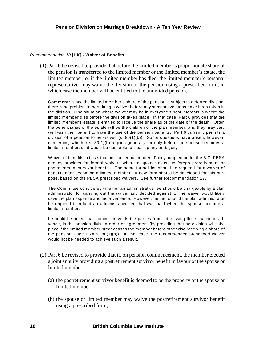#### *Recommendation 10* **[HK] - Waiver of Benefits**

(1) Part 6 be revised to provide that before the limited member's proportionate share of the pension is transferred to the limited member or the limited member's estate, the limited member, or if the limited member has died, the limited member's personal representative, may waive the division of the pension using a prescribed form, in which case the member will be entitled to the undivided pension.

**Comment:** since the limited member's share of the pension is subject to deferred division, there is no problem in permitting a waiver before any substantive steps have been taken in the division. One situation where waiver may be in everyone's best interests is where the limited member dies before the division takes place. In that case, Part 6 provides that the limited member's estate is entitled to receive the share as of the date of the death. Often the beneficiaries of the estate will be the children of the plan member, and they may very well wish their parent to have the use of the pension benefits. Part 6 currently permits a division of a pension to be waived  $(s. 80(1)(b))$ . Some questions have arisen, however, concerning whether s. 80(1)(b) applies generally, or only before the spouse becomes a limited member, so it would be desirable to clear up any ambiguity.

W aiver of benefits in this situation is a serious matter. Policy adopted under the B.C. PBSA already provides for formal waivers where a spouse elects to forego preretirement or postretirement survivor benefits. The same formalities should be required for a waiver of benefits after becoming a limited member. A new form should be developed for this purpose, based on the PBSA prescribed waivers. See further Recommendation 27.

The Committee considered whether an administrative fee should be chargeable by a plan administrator for carrying out the waiver and decided against it. The waiver would likely save the plan expense and inconvenience. However, neither should the plan administrator be required to refund an administrative fee that was paid when the spouse became a limited member.

It should be noted that nothing prevents the parties from addressing this situation in advance, in the pension division order or agreement (by providing that no division will take place if the limited member predeceases the member before otherwise receiving a share of the pension - see FRA s. 80(1)(b)). In that case, the recommended prescribed waiver would not be needed to achieve such a result.

- (2) Part 6 be revised to provide that if, on pension commencement, the member elected a joint annuity providing a postretirement survivor benefit in favour of the spouse or limited member,
	- (a) the postretirement survivor benefit is deemed to be the property of the spouse or limited member,
	- (b) the spouse or limited member may waive the postretirement survivor benefit using a prescribed form,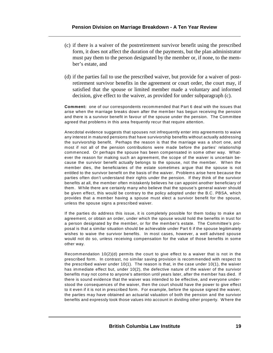- (c) if there is a waiver of the postretirement survivor benefit using the prescribed form, it does not affect the duration of the payments, but the plan administrator must pay them to the person designated by the member or, if none, to the member's estate, and
- (d) if the parties fail to use the prescribed waiver, but provide for a waiver of postretirement survivor benefits in the agreement or court order, the court may, if satisfied that the spouse or limited member made a voluntary and informed decision, give effect to the waiver, as provided for under subparagraph (c).

**Comment:** one of our correspondents recommended that Part 6 deal with the issues that arise when the marriage breaks down after the member has begun receiving the pension and there is a survivor benefit in favour of the spouse under the pension. The Committee agreed that problems in this area frequently recur that require attention.

Anecdotal evidence suggests that spouses not infrequently enter into agreements to waive any interest in matured pensions that have survivorship benefits without actually addressing the survivorship benefit. Perhaps the reason is that the marriage was a short one, and most if not all of the pension contributions were made before the parties' relationship commenced. Or perhaps the spouse has been compensated in some other way. W hatever the reason for making such an agreement, the scope of the waiver is uncertain because the survivor benefit actually belongs to the spouse, not the member. W hen the member dies, the beneficiaries of the estate sometimes argue that the spouse is not entitled to the survivor benefit on the basis of the waiver. Problems arise here because the parties often don't understand their rights under the pension. If they think of the survivor benefits at all, the member often mistakenly believes he can appoint another beneficiary of them. W hile there are certainly many who believe that the spouse's general waiver should be given effect, this would be contrary to the policy adopted under the B.C. PBSA, which provides that a member having a spouse must elect a survivor benefit for the spouse, unless the spouse signs a prescribed waiver.

If the parties do address this issue, it is completely possible for them today to make an agreement, or obtain an order, under which the spouse would hold the benefits in trust for a person designated by the member, or for the member's estate. The Committee's proposal is that a similar situation should be achievable under Part 6 if the spouse legitimately wishes to waive the survivor benefits. In most cases, however, a well advised spouse would not do so, unless receiving compensation for the value of those benefits in some other way.

Recommendation 10(2)(d) permits the court to give effect to a waiver that is not in the prescribed form. In contrast, no similar saving provision is recommended with respect to the prescribed waiver under 10(1). The reason is that, in the case under 10(1), the waiver has immediate effect but, under 10(2), the defective nature of the waiver of the survivor benefits may not come to anyone's attention until years later, after the member has died. If there is sound evidence that the waiver was intended to be effective, and everyone understood the consequences of the waiver, then the court should have the power to give effect to it even if it is not in prescribed form. For example, before the spouse signed the waiver, the parties may have obtained an actuarial valuation of both the pension and the survivor benefits and expressly took those values into account in dividing other property. Where the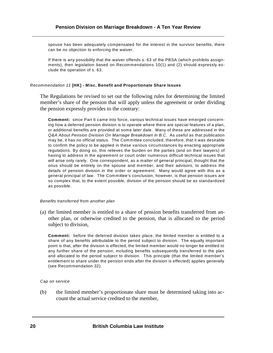spouse has been adequately compensated for the interest in the survivor benefits, there can be no objection to enforcing the waiver.

If there is any possibility that the waiver offends s. 63 of the PBSA (which prohibits assignments), then legislation based on Recommendations 10(1) and (2) should expressly exclude the operation of s. 63.

#### *Recommendation 11* **[HK] - Misc. Benefit and Proportionate Share Issues**

The Regulations be revised to set out the following rules for determining the limited member's share of the pension that will apply unless the agreement or order dividing the pension expressly provides to the contrary:

**Comment:** since Part 6 came into force, various technical issues have emerged concerning how a deferred pension division is to operate where there are special features of a plan, or additional benefits are provided at some later date. Many of these are addressed in the *Q&A About Pension Division On Marriage Breakdown in B.C*. As useful as that publication may be, it has no official status. The Committee concluded, therefore, that it was desirable to confirm the policy to be applied in these various circumstances by enacting appropriate regulations. By doing so, this relieves the burden on the parties (and on their lawyers) of having to address in the agreement or court order numerous difficult technical issues that will arise only rarely. One correspondent, as a matter of general principal, thought that the onus should be entirely on the spouse and member, and their advisors, to address the details of pension division in the order or agreement. Many would agree with this as a general principal of law. The Committee's conclusion, however, is that pension issues are so complex that, to the extent possible, division of the pension should be as standardized as possible.

#### *Benefits transferred from another plan*

(a) the limited member is entitled to a share of pension benefits transferred from another plan, or otherwise credited to the pension, that is allocated to the period subject to division,

**Comment:** before the deferred division takes place, the limited member is entitled to a share of any benefits attributable to the period subject to division. The equally important point is that, after the division is effected, the limited member would no longer be entitled to any further share of the pension, including benefits subsequently transferred to the plan and allocated to the period subject to division. This principle (that the limited member's entitlement to share under the pension ends after the division is effected) applies generally (see Recommendation 32).

#### *Cap on service*

(b) the limited member's proportionate share must be determined taking into account the actual service credited to the member,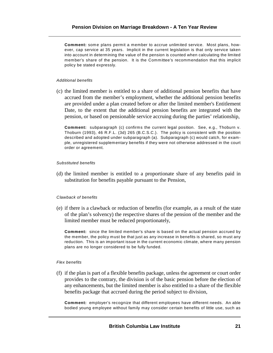**Comment:** some plans permit a member to accrue unlimited service. Most plans, however, cap service at 35 years. Implicit in the current legislation is that only service taken into account in determining the value of the pension is counted when calculating the limited member's share of the pension. It is the Committee's recommendation that this implicit policy be stated expressly.

#### *Additional benefits*

(c) the limited member is entitled to a share of additional pension benefits that have accrued from the member's employment, whether the additional pension benefits are provided under a plan created before or after the limited member's Entitlement Date, to the extent that the additional pension benefits are integrated with the pension, or based on pensionable service accruing during the parties' relationship,

**Comment:** subparagraph (c) confirms the current legal position. See, e.g., Thoburn v. Thoburn (1993), 46 R.F.L. (3d) 265 (B.C.S.C.). The policy is consistent with the position described and adopted under subparagraph (a). Subparagraph (c) would catch, for example, unregistered supplementary benefits if they were not otherwise addressed in the court order or agreement.

#### *Substituted benefits*

(d) the limited member is entitled to a proportionate share of any benefits paid in substitution for benefits payable pursuant to the Pension,

#### *Clawback of benefits*

(e) if there is a clawback or reduction of benefits (for example, as a result of the state of the plan's solvency) the respective shares of the pension of the member and the limited member must be reduced proportionately,

**Comment:** since the limited member's share is based on the actual pension accrued by the member, the policy must be that just as any increase in benefits is shared, so must any reduction. This is an important issue in the current economic climate, where many pension plans are no longer considered to be fully funded.

#### *Flex benefits*

(f) if the plan is part of a flexible benefits package, unless the agreement or court order provides to the contrary, the division is of the basic pension before the election of any enhancements, but the limited member is also entitled to a share of the flexible benefits package that accrued during the period subject to division,

**Comment:** employer's recognize that different employees have different needs. An able bodied young employee without family may consider certain benefits of little use, such as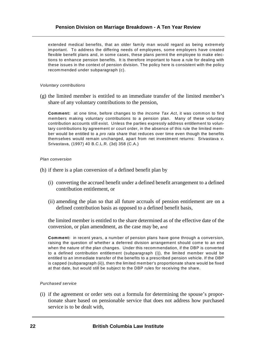## **Pension Division on Marriage Breakdown - A Ten Year Review**

extended medical benefits, that an older family man would regard as being extremely important. To address the differing needs of employees, some employers have created flexible benefit plans and, in some cases, these plans permit the employee to make elections to enhance pension benefits. It is therefore important to have a rule for dealing with these issues in the context of pension division. The policy here is consistent with the policy recommended under subparagraph (c).

#### *Voluntary contributions*

(g) the limited member is entitled to an immediate transfer of the limited member's share of any voluntary contributions to the pension,

**Comment:** at one time, before changes to the *Income Tax Act*, it was common to find members making voluntary contributions to a pension plan. Many of these voluntary contribution accounts still exist. Unless the parties expressly address entitlement to voluntary contributions by agreement or court order, in the absence of this rule the limited member would be entitled to a *pro rata* share that reduces over time even though the benefits themselves would remain unchanged, apart from net investment returns: Srivastava v. Srivastava, (1997) 40 B.C.L.R. (3d) 358 (C.A.)

#### *Plan conversion*

- (h) if there is a plan conversion of a defined benefit plan by
	- (i) converting the accrued benefit under a defined benefit arrangement to a defined contribution entitlement, or
	- (ii) amending the plan so that all future accruals of pension entitlement are on a defined contribution basis as opposed to a defined benefit basis,

the limited member is entitled to the share determined as of the effective date of the conversion, or plan amendment, as the case may be, and

**Comment:** in recent years, a number of pension plans have gone through a conversion, raising the question of whether a deferred division arrangement should come to an end when the nature of the plan changes. Under this recommendation, if the DBP is converted to a defined contribution entitlement (subparagraph (i)), the limited member would be entitled to an immediate transfer of the benefits to a prescribed pension vehicle. If the DBP is capped (subparagraph (ii)), then the limited member's proportionate share would be fixed at that date, but would still be subject to the DBP rules for receiving the share.

#### *Purchased service*

(i) if the agreement or order sets out a formula for determining the spouse's proportionate share based on pensionable service that does not address how purchased service is to be dealt with,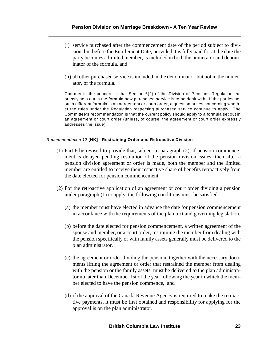- (i) service purchased after the commencement date of the period subject to division, but before the Entitlement Date, provided it is fully paid for at the date the party becomes a limited member, is included in both the numerator and denominator of the formula, and
- (ii) all other purchased service is included in the denominator, but not in the numerator, of the formula.

Comment: the concern is that Section 6(2) of the Division of Pensions Regulation expressly sets out in the formula how purchased service is to be dealt with. If the parties set out a different formula in an agreement or court order, a question arises concerning whether the rules under the Regulation respecting purchased service continue to apply. The Committee's recommendation is that the current policy should apply to a formula set out in an agreement or court order (unless, of course, the agreement or court order expressly addresses the issue).

#### *Recommendation 12* **[HK] - Restraining Order and Retroactive Division**

- (1) Part 6 be revised to provide that, subject to paragraph (2), if pension commencement is delayed pending resolution of the pension division issues, then after a pension division agreement or order is made, both the member and the limited member are entitled to receive their respective share of benefits retroactively from the date elected for pension commencement.
- (2) For the retroactive application of an agreement or court order dividing a pension under paragraph (1) to apply, the following conditions must be satisfied:
	- (a) the member must have elected in advance the date for pension commencement in accordance with the requirements of the plan text and governing legislation,
	- (b) before the date elected for pension commencement, a written agreement of the spouse and member, or a court order, restraining the member from dealing with the pension specifically or with family assets generally must be delivered to the plan administrator,
	- (c) the agreement or order dividing the pension, together with the necessary documents lifting the agreement or order that restrained the member from dealing with the pension or the family assets, must be delivered to the plan administrator no later than December 1st of the year following the year in which the member elected to have the pension commence, and
	- (d) if the approval of the Canada Revenue Agency is required to make the retroactive payments, it must be first obtained and responsibility for applying for the approval is on the plan administrator.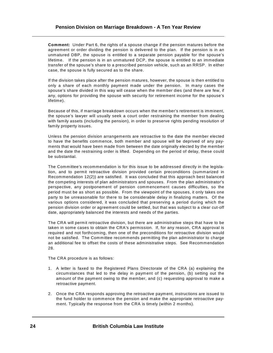**Comment:** Under Part 6, the rights of a spouse change if the pension matures before the agreement or order dividing the pension is delivered to the plan. If the pension is in an unmatured DBP, the spouse is entitled to a separate pension payable for the spouse's lifetime. If the pension is in an unmatured DCP, the spouse is entitled to an immediate transfer of the spouse's share to a prescribed pension vehicle, such as an RRSP. In either case, the spouse is fully secured as to the share.

If the division takes place after the pension matures, however, the spouse is then entitled to only a share of each monthly payment made under the pension. In many cases the spouse's share divided in this way will cease when the member dies (and there are few, if any, options for providing the spouse with security for retirement income for the spouse's lifetime).

Because of this, if marriage breakdown occurs when the member's retirement is imminent, the spouse's lawyer will usually seek a court order restraining the member from dealing with family assets (including the pension), in order to preserve rights pending resolution of family property issues.

Unless the pension division arrangements are retroactive to the date the member elected to have the benefits commence, both member and spouse will be deprived of any payments that would have been made from between the date originally elected by the member and the date the restraining order is lifted. Depending on the period of delay, these could be substantial.

The Committee's recommendation is for this issue to be addressed directly in the legislation, and to permit retroactive division provided certain preconditions (summarized in Recommendation 12(2)) are satisfied. It was concluded that this approach best balanced the competing interests of plan administrators and spouses. From the plan administrator's perspective, any postponement of pension commencement causes difficulties, so the period must be as short as possible. From the viewpoint of the spouses, it only takes one party to be unreasonable for there to be considerable delay in finalizing matters. Of the various options considered, it was concluded that preserving a period during which the pension division order or agreement could be settled, but that was subject to a clear cut-off date, appropriately balanced the interests and needs of the parties.

The CRA will permit retroactive division, but there are administrative steps that have to be taken in some cases to obtain the CRA's permission. If, for any reason, CRA approval is required and not forthcoming, then one of the preconditions for retroactive division would not be satisfied. The Committee recommends permitting the plan administrator to charge an additional fee to offset the costs of these administrative steps. See Recommendation 28.

The CRA procedure is as follows:

- 1. A letter is faxed to the Registered Plans Directorate of the CRA (a) explaining the circumstances that led to the delay in payment of the pension, (b) setting out the amount of the payment owing to the member, and (c) requesting approval to make a retroactive payment.
- 2. Once the CRA responds approving the retroactive payment, instructions are issued to the fund holder to commence the pension and make the appropriate retroactive payment. Typically the response from the CRA is timely (within 2 months).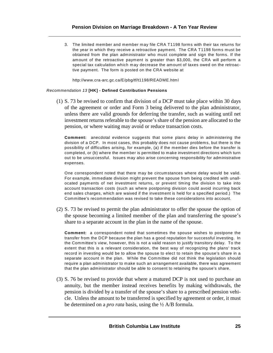3. The limited member and member may file CRA T1198 forms with their tax returns for the year in which they receive a retroactive payment. The CRA T1198 forms must be obtained from the plan administrator who must complete and sign the forms. If the amount of the retroactive payment is greater than \$3,000, the CRA will perform a special tax calculation which may decrease the amount of taxes owed on the retroactive payment. The form is posted on the CRA website at

http://www.cra-arc.gc.ca/E/pbg/tf/t1198/README.html

#### *Recommendation 13* **[HK] - Defined Contribution Pensions**

(1) S. 73 be revised to confirm that division of a DCP must take place within 30 days of the agreement or order and Form 3 being delivered to the plan administrator, unless there are valid grounds for deferring the transfer, such as waiting until net investment returns referable to the spouse's share of the pension are allocated to the pension, or where waiting may avoid or reduce transaction costs.

**Comment:** anecdotal evidence suggests that some plans delay in administering the division of a DCP. In most cases, this probably does not cause problems, but there is the possibility of difficulties arising, for example, (a) if the member dies before the transfer is completed, or (b) where the member is permitted to make investment directions which turn out to be unsuccessful. Issues may also arise concerning responsibility for administrative expenses.

One correspondent noted that there may be circumstances where delay would be valid. For example, immediate division might prevent the spouse from being credited with unallocated payments of net investment returns, or prevent timing the division to take into account transaction costs (such as where postponing division could avoid incurring back end sales charges, which are waived if the investment is held for a specified period.) The Committee's recommendation was revised to take these considerations into account.

(2) S. 73 be revised to permit the plan administrator to offer the spouse the option of the spouse becoming a limited member of the plan and transferring the spouse's share to a separate account in the plan in the name of the spouse.

**Comment:** a correspondent noted that sometimes the spouse wishes to postpone the transfer from the DCP because the plan has a good reputation for successful investing. In the Committee's view, however, this is not a valid reason to justify transitory delay. To the extent that this is a relevant consideration, the best way of recognizing the plans' track record in investing would be to allow the spouse to elect to retain the spouse's share in a separate account in the plan. W hile the Committee did not think the legislation should require a plan administrator to make such an arrangement available, there was agreement that the plan administrator should be able to consent to retaining the spouse's share.

(3) S. 76 be revised to provide that where a matured DCP is not used to purchase an annuity, but the member instead receives benefits by making withdrawals, the pension is divided by a transfer of the spouse's share to a prescribed pension vehicle. Unless the amount to be transferred is specified by agreement or order, it must be determined on a *pro rata* basis, using the ½ A/B formula.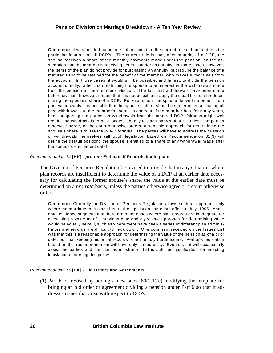**Comment:** it was pointed out in one submission that the current rule did not address the particular features of all DCP's. The current rule is that, after maturity of a DCP, the spouse receives a share of the monthly payments made under the pension, on the assumption that the member is receiving benefits under an annuity. In some cases, however, the terms of the plan do not provide for purchasing an annuity, but require the balance of a matured DCP to be retained for the benefit of the member, who makes withdrawals from the account. In those cases, it would still be possible, and fairest, to divide the pension account directly, rather than restricting the spouse to an interest in the withdrawals made from the pension at the member's election. The fact that withdrawals have been made before division, however, means that it is not possible to apply the usual formula for determining the spouse's share of a DCP. For example, if the spouse derived no benefit from prior withdrawals, it is possible that the spouse's share should be determined allocating all past withdrawal's to the member's share. In contrast, if the member has, for many years, been supporting the parties on withdrawals from the matured DCP, fairness might well require the withdrawals to be allocated equally to each party's share. Unless the parties otherwise agree, or the court otherwise orders, a sensible approach for determining the spouse's share is to use the  $\frac{1}{2}$  A/B formula. The parties will have to address the question of withdrawals themselves (although legislation based on Recommendation 31(3) will define the default position: the spouse is entitled to a share of any withdrawal made after the spouse's entitlement date).

#### *Recommendation 14* **[HK] -** *pro rata* **Estimate If Records Inadequate**

The Division of Pensions Regulation be revised to provide that in any situation where plan records are insufficient to determine the value of a DCP at an earlier date necessary for calculating the former spouse's share, the value at the earlier date must be determined on a *pro rata* basis, unless the parties otherwise agree or a court otherwise orders.

**Comment:** Currently the Division of Pensions Regulation allows such an approach only where the marriage took place before the legislation came into effect in July, 1995. Anecdotal evidence suggests that there are other cases where plan records are inadequate for calculating a value as of a previous date and a *pro rata* approach for determining value would be equally helpful, such as where there have been a series of different plan administrators and records are difficult to track down. One comment received on the Issues List was that this is a reasonable approach for determining the value of the pension as of a prior date, but that keeping historical records is not unduly burdensome. Perhaps legislation based on this recommendation will have only limited utility. Even so, if it will occasionally assist the parties and the plan administrator, that is sufficient justification for enacting legislation endorsing this policy.

#### *Recommendation 15* **[HK] - Old Orders and Agreements**

(1) Part 6 be revised by adding a new subs.  $80(2.1)(e)$  modifying the template for bringing an old order or agreement dividing a pension under Part 6 so that it addresses issues that arise with respect to DCPs.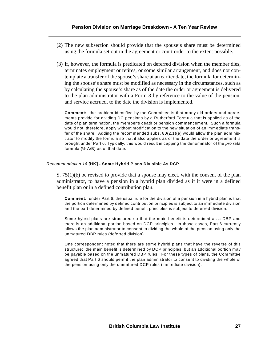- (2) The new subsection should provide that the spouse's share must be determined using the formula set out in the agreement or court order to the extent possible.
- (3) If, however, the formula is predicated on deferred division when the member dies, terminates employment or retires, or some similar arrangement, and does not contemplate a transfer of the spouse's share at an earlier date, the formula for determining the spouse's share must be modified as necessary in the circumstances, such as by calculating the spouse's share as of the date the order or agreement is delivered to the plan administrator with a Form 3 by reference to the value of the pension, and service accrued, to the date the division is implemented.

**Comment:** the problem identified by the Committee is that many old orders and agreements provide for dividing DC pensions by a Rutherford Formula that is applied as of the date of plan termination, the member's death or pension commencement. Such a formula would not, therefore, apply without modification to the new situation of an immediate transfer of the share. Adding the recommended subs.  $80(2.1)(e)$  would allow the plan administrator to modify the formula so that it also applies as of the date the order or agreement is brought under Part 6. Typically, this would result in capping the denominator of the *pro rata* formula (½ A/B) as of that date.

#### *Recommendation 16* **[HK] - Some Hybrid Plans Divisible As DCP**

S.  $75(1)(b)$  be revised to provide that a spouse may elect, with the consent of the plan administrator, to have a pension in a hybrid plan divided as if it were in a defined benefit plan or in a defined contribution plan.

**Comment:** under Part 6, the usual rule for the division of a pension in a hybrid plan is that the portion determined by defined contribution principles is subject to an immediate division and the part determined by defined benefit principles is subject to deferred division.

Some hybrid plans are structured so that the main benefit is determined as a DBP and there is an additional portion based on DCP principles. In those cases, Part 6 currently allows the plan administrator to consent to dividing the whole of the pension using only the unmatured DBP rules (deferred division).

One correspondent noted that there are some hybrid plans that have the reverse of this structure: the main benefit is determined by DCP principles, but an additional portion may be payable based on the unmatured DBP rules. For these types of plans, the Committee agreed that Part 6 should permit the plan administrator to consent to dividing the whole of the pension using only the unmatured DCP rules (immediate division).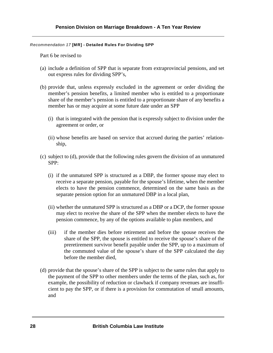#### *Recommendation 17* **[MR] - Detailed Rules For Dividing SPP**

Part 6 be revised to

- (a) include a definition of SPP that is separate from extraprovincial pensions, and set out express rules for dividing SPP's,
- (b) provide that, unless expressly excluded in the agreement or order dividing the member's pension benefits, a limited member who is entitled to a proportionate share of the member's pension is entitled to a proportionate share of any benefits a member has or may acquire at some future date under an SPP
	- (i) that is integrated with the pension that is expressly subject to division under the agreement or order, or
	- (ii) whose benefits are based on service that accrued during the parties' relationship,
- (c) subject to (d), provide that the following rules govern the division of an unmatured SPP:
	- (i) if the unmatured SPP is structured as a DBP, the former spouse may elect to receive a separate pension, payable for the spouse's lifetime, when the member elects to have the pension commence, determined on the same basis as the separate pension option for an unmatured DBP in a local plan,
	- (ii) whether the unmatured SPP is structured as a DBP or a DCP, the former spouse may elect to receive the share of the SPP when the member elects to have the pension commence, by any of the options available to plan members, and
	- (iii) if the member dies before retirement and before the spouse receives the share of the SPP, the spouse is entitled to receive the spouse's share of the preretirement survivor benefit payable under the SPP, up to a maximum of the commuted value of the spouse's share of the SPP calculated the day before the member died,
- (d) provide that the spouse's share of the SPP is subject to the same rules that apply to the payment of the SPP to other members under the terms of the plan, such as, for example, the possibility of reduction or clawback if company revenues are insufficient to pay the SPP, or if there is a provision for commutation of small amounts, and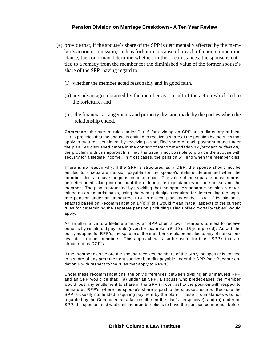- (e) provide that, if the spouse's share of the SPP is detrimentally affected by the member's action or omission, such as forfeiture because of breach of a non-competition clause, the court may determine whether, in the circumstances, the spouse is entitled to a remedy from the member for the diminished value of the former spouse's share of the SPP, having regard to
	- (i) whether the member acted reasonably and in good faith,
	- (ii) any advantages obtained by the member as a result of the action which led to the forfeiture, and
	- (iii) the financial arrangements and property division made by the parties when the relationship ended.

**Comment:** the current rules under Part 6 for dividing an SPP are rudimentary at best. Part 6 provides that the spouse is entitled to receive a share of the pension by the rules that apply to matured pensions: by receiving a specified share of each payment made under the plan. As discussed before in the context of Recommendation 12 *[retroactive division]*, the problem with this approach is that it is usually not possible to provide the spouse with security for a lifetime income. In most cases, the pension will end when the member dies.

There is no reason why, if the SPP is structured as a DBP, the spouse should not be entitled to a separate pension payable for the spouse's lifetime, determined when the member elects to have the pension commence. The value of the separate pension must be determined taking into account the differing life expectancies of the spouse and the member. The plan is protected by providing that the spouse's separate pension is determined on an actuarial basis, using the same principles required for determining the separate pension under an unmatured DBP in a local plan under the FRA. If legislation is enacted based on Recommendation 17(c)(i) this would mean that all aspects of the current rules for determining the separate pension (including using unisex mortality tables) would apply.

As an alternative to a lifetime annuity, an SPP often allows members to elect to receive benefits by instalment payments (over, for example, a 5, 10 or 15 year period). As with the policy adopted for RPP's, the spouse of the member should be entitled to any of the options available to other members. This approach will also be useful for those SPP's that are structured as DCP's.

If the member dies before the spouse receives the share of the SPP, the spouse is entitled to a share of any preretirement survivor benefits payable under the SPP (see Recommendation 6 with respect to the rules that apply to RPP's).

Under these recommendations, the only differences between dividing an unmatured RPP and an SPP would be that: (a) under an SPP, a spouse who predeceases the member would lose any entitlement to share in the SPP (in contrast to the position with respect to unmatured RPP's, where the spouse's share is paid to the spouse's estate. Because the SPP is usually not funded, requiring payment by the plan in these circumstances was not regarded by the Committee as a fair result from the plan's perspective), and (b) under an SPP, the spouse must wait until the member elects to have the pension commence before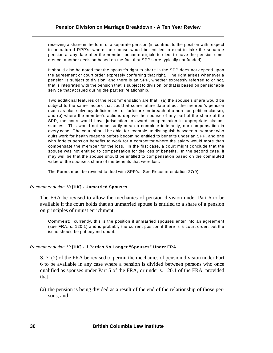receiving a share in the form of a separate pension (in contrast to the position with respect to unmatured RPP's, where the spouse would be entitled to elect to take the separate pension at any date after the member became eligible to elect to have the pension commence, another decision based on the fact that SPP's are typically not funded).

It should also be noted that the spouse's right to share in the SPP does not depend upon the agreement or court order expressly conferring that right. The right arises whenever a pension is subject to division, and there is an SPP, whether expressly referred to or not, that is integrated with the pension that is subject to division, or that is based on pensionable service that accrued during the parties' relationship.

Two additional features of the recommendation are that: (a) the spouse's share would be subject to the same factors that could at some future date affect the member's pension (such as plan solvency deficiencies, or forfeiture on breach of a non-competition clause), and (b) where the member's actions deprive the spouse of any part of the share of the SPP, the court would have jurisdiction to award compensation in appropriate circumstances. This would not necessarily mean a complete indemnity, nor compensation in every case. The court should be able, for example, to distinguish between a member who quits work for health reasons before becoming entitled to benefits under an SPP, and one who forfeits pension benefits to work for a competitor where the salary would more than compensate the member for the loss. In the first case, a court might conclude that the spouse was not entitled to compensation for the loss of benefits. In the second case, it may well be that the spouse should be entitled to compensation based on the commuted value of the spouse's share of the benefits that were lost.

The Forms must be revised to deal with SPP's. See Recommendation 27(9).

#### *Recommendation 18* **[HK] - Unmarried Spouses**

The FRA be revised to allow the mechanics of pension division under Part 6 to be available if the court holds that an unmarried spouse is entitled to a share of a pension on principles of unjust enrichment.

**Comment:** currently, this is the position if unmarried spouses enter into an agreement (see FRA, s. 120.1) and is probably the current position if there is a court order, but the issue should be put beyond doubt.

#### *Recommendation 19* **[HK] - If Parties No Longer "Spouses" Under FRA**

S. 71(2) of the FRA be revised to permit the mechanics of pension division under Part 6 to be available in any case where a pension is divided between persons who once qualified as spouses under Part 5 of the FRA, or under s. 120.1 of the FRA, provided that

(a) the pension is being divided as a result of the end of the relationship of those persons, and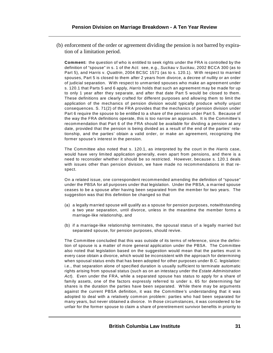(b) enforcement of the order or agreement dividing the pension is not barred by expiration of a limitation period.

**Comment:** the question of who is entitled to seek rights under the FRA is controlled by the definition of "spouse" in s. 1 of the Act: see, e.g., *Suckau* v *Suckau*, 2002 BCCA 300 (as to Part 5), and *Harris* v. *Quattrin*, 2004 BCSC 1571 (as to s. 120.1). With respect to married spouses, Part 5 is closed to them after 2 years from divorce, a decree of nullity or an order of judicial separation. W ith respect to unmarried spouses who make an agreement under s. 120.1 that Parts 5 and 6 apply, *Harris* holds that such an agreement may be made for up to only 1 year after they separate, and after that date Part 5 would be closed to them. These definitions are clearly crafted for different purposes and allowing them to limit the application of the mechanics of pension division would typically produce wholly unjust consequences. S. 71(2) of the FRA provides that the mechanics of pension division under Part 6 require the spouse to be entitled to a share of the pension under Part 5. Because of the way the FRA definitions operate, this is too narrow an approach. It is the Committee's recommendation that Part 6 of the FRA should be available for dividing a pension at any date, provided that the pension is being divided as a result of the end of the parties' relationship, and the parties' obtain a valid order, or make an agreement, recognizing the former spouse's interest in the pension.

The Committee also noted that s. 120.1, as interpreted by the court in the *Harris* case, would have very limited application generally, even apart from pensions, and there is a need to reconsider whether it should be so restricted. However, because s. 120.1 deals with issues other than pension division, we have made no recommendations in that respect.

On a related issue, one correspondent recommended amending the definition of "spouse" under the PBSA for all purposes under that legislation. Under the PBSA, a married spouse ceases to be a spouse after having been separated from the member for two years. The suggestion was that this definition be changed so that

- (a) a legally married spouse will qualify as a spouse for pension purposes, notwithstanding a two year separation, until divorce, unless in the meantime the member forms a marriage-like relationship, and
- (b) if a marriage-like relationship terminates, the spousal status of a legally married but separated spouse, for pension purposes, should revive.

The Committee concluded that this was outside of its terms of reference, since the definition of spouse is a matter of more general application under the PBSA. The Committee also noted that legislation based on the suggestion would mean that the parties must in every case obtain a divorce, which would be inconsistent with the approach for determining when spousal status ends that has been adopted for other purposes under B.C. legislation: i.e., that separation alone of specified duration is usually sufficient to terminate automatic rights arising from spousal status (such as on an intestacy under the *Estate Administration Act*). Even under the FRA, while a separated spouse has status to apply for a share of family assets, one of the factors expressly referred to under s. 65 for determining fair shares is the duration the parties have been separated. W hile there may be arguments against the current PBSA definition, it was the Committee's understanding that it was adopted to deal with a relatively common problem: parties who had been separated for many years, but never obtained a divorce. In those circumstances, it was considered to be unfair for the former spouse to claim a share of preretirement survivor benefits in priority to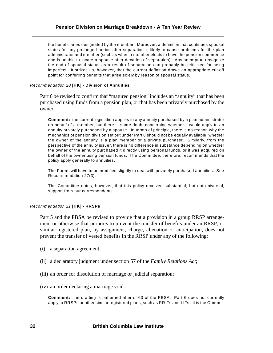the beneficiaries designated by the member. Moreover, a definition that continues spousal status for any prolonged period after separation is likely to cause problems for the plan administrator and member (such as when a member elects to have the pension commence and is unable to locate a spouse after decades of separation). Any attempt to recognize the end of spousal status as a result of separation can probably be criticized for being imperfect. It strikes us, however, that the current definition draws an appropriate cut-off point for conferring benefits that arise solely by reason of spousal status.

# *Recommendation 20* **[HK] - Division of Annuities**

Part 6 be revised to confirm that "matured pension" includes an "annuity" that has been purchased using funds from a pension plan, or that has been privately purchased by the owner.

**Comment:** the current legislation applies to any annuity purchased by a plan administrator on behalf of a member, but there is some doubt concerning whether it would apply to an annuity privately purchased by a spouse. In terms of principle, there is no reason why the mechanics of pension division set out under Part 6 should not be equally available, whether the owner of the annuity is a plan member or a private purchaser. Similarly, from the perspective of the annuity issuer, there is no difference in substance depending on whether the owner of the annuity purchased it directly using personal funds, or it was acquired on behalf of the owner using pension funds. The Committee, therefore, recommends that the policy apply generally to annuities.

The Forms will have to be modified slightly to deal with privately purchased annuities. See Recommendation 27(3).

The Committee notes, however, that this policy received substantial, but not universal, support from our correspondents.

### *Recommendation 21* **[HK] - RRSPs**

Part 5 and the PBSA be revised to provide that a provision in a group RRSP arrangement or otherwise that purports to prevent the transfer of benefits under an RRSP, or similar registered plan, by assignment, charge, alienation or anticipation, does not prevent the transfer of vested benefits in the RRSP under any of the following:

- (i) a separation agreement;
- (ii) a declaratory judgment under section 57 of the *Family Relations Act*;
- (iii) an order for dissolution of marriage or judicial separation;
- (iv) an order declaring a marriage void.

**Comment:** the drafting is patterned after s. 63 of the PBSA. Part 6 does not currently apply to RRSPs or other similar registered plans, such as RRIFs and LIFs. It is the Commit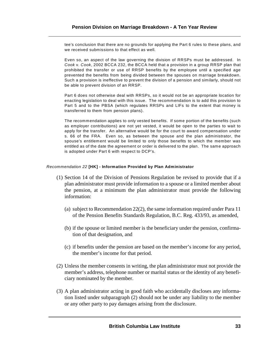tee's conclusion that there are no grounds for applying the Part 6 rules to these plans, and we received submissions to that effect as well.

Even so, an aspect of the law governing the division of RRSPs must be addressed. In *Cook* v. *Cook*, 2002 BCCA 232, the BCCA held that a provision in a group RRSP plan that prohibited the transfer or use of RRSP benefits by the employee until a specified age prevented the benefits from being divided between the spouses on marriage breakdown. Such a provision is ineffective to prevent the division of a pension and similarly, should not be able to prevent division of an RRSP.

Part 6 does not otherwise deal with RRSPs, so it would not be an appropriate location for enacting legislation to deal with this issue. The recommendation is to add this provision to Part 5 and to the PBSA (which regulates RRSPs and LIFs to the extent that money is transferred to them from pension plans).

The recommendation applies to only vested benefits. If some portion of the benefits (such as employer contributions) are not yet vested, it would be open to the parties to wait to apply for the transfer. An alternative would be for the court to award compensation under s. 66 of the FRA. Even so, as between the spouse and the plan administrator, the spouse's entitlement would be limited to only those benefits to which the member was entitled as of the date the agreement or order is delivered to the plan. The same approach is adopted under Part 6 with respect to DCP's.

# *Recommendation 22* **[HK] - Information Provided by Plan Administrator**

- (1) Section 14 of the Division of Pensions Regulation be revised to provide that if a plan administrator must provide information to a spouse or a limited member about the pension, at a minimum the plan administrator must provide the following information:
	- (a) subject to Recommendation 22(2), the same information required under Para 11 of the Pension Benefits Standards Regulation, B.C. Reg. 433/93, as amended,
	- (b) if the spouse or limited member is the beneficiary under the pension, confirmation of that designation, and
	- (c) if benefits under the pension are based on the member's income for any period, the member's income for that period.
- (2) Unless the member consents in writing, the plan administrator must not provide the member's address, telephone number or marital status or the identity of any beneficiary nominated by the member.
- (3) A plan administrator acting in good faith who accidentally discloses any information listed under subparagraph (2) should not be under any liability to the member or any other party to pay damages arising from the disclosure.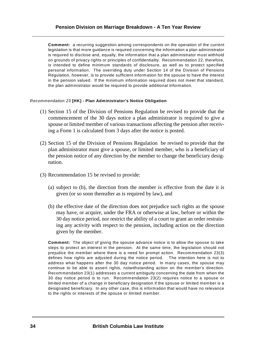**Comment:** a recurring suggestion among correspondents on the operation of the current legislation is that more guidance is required concerning the information a plan administrator is required to disclose and, equally, the information that a plan administrator must withhold on grounds of privacy rights or principles of confidentiality. Recommendation 22, therefore, is intended to define minimum standards of disclosure, as well as to protect specified personal information. The overriding duty under Section 14 of the Division of Pensions Regulation, however, is to provide sufficient information for the spouse to have the interest in the pension valued. If the minimum information required does not meet that standard, the plan administrator would be required to provide additional information.

# *Recommendation 23* **[HK] - Plan Administrator's Notice Obligation**

- (1) Section 15 of the Division of Pensions Regulation be revised to provide that the commencement of the 30 days notice a plan administrator is required to give a spouse or limited member of various transactions affecting the pension after receiving a Form 1 is calculated from 3 days after the notice is posted.
- (2) Section 15 of the Division of Pensions Regulation be revised to provide that the plan administrator must give a spouse, or limited member, who is a beneficiary of the pension notice of any direction by the member to change the beneficiary designation.
- (3) Recommendation 15 be revised to provide:
	- (a) subject to (b), the direction from the member is effective from the date it is given (or so soon thereafter as is required by law), and
	- (b) the effective date of the direction does not prejudice such rights as the spouse may have, or acquire, under the FRA or otherwise at law, before or within the 30 day notice period, nor restrict the ability of a court to grant an order restraining any activity with respect to the pension, including action on the direction given by the member.

**Comment:** The object of giving the spouse advance notice is to allow the spouse to take steps to protect an interest in the pension. At the same time, the legislation should not prejudice the member where there is a need for prompt action. Recommendation 23(3) defines how rights are adjusted during the notice period. The intention here is not to address what happens after the 30 day notice period. In many cases, the spouse may continue to be able to assert rights, notwithstanding action on the member's direction. Recommendation 23(1) addresses a current ambiguity concerning the date from when the 30 day notice period is to run. Recommendation 23(2) requires notice to a spouse or limited member of a change in beneficiary designation if the spouse or limited member is a designated beneficiary. In any other case, this is information that would have no relevance to the rights or interests of the spouse or limited member.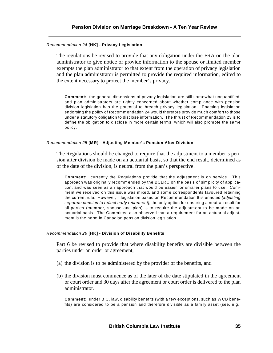### *Recommendation 24* **[HK] - Privacy Legislation**

The regulations be revised to provide that any obligation under the FRA on the plan administrator to give notice or provide information to the spouse or limited member exempts the plan administrator to that extent from the operation of privacy legislation and the plan administrator is permitted to provide the required information, edited to the extent necessary to protect the member's privacy.

**Comment:** the general dimensions of privacy legislation are still somewhat unquantified, and plan administrators are rightly concerned about whether compliance with pension division legislation has the potential to breach privacy legislation. Enacting legislation endorsing the policy of Recommendation 24 would therefore provide much comfort to those under a statutory obligation to disclose information. The thrust of Recommendation 23 is to define the obligation to disclose in more certain terms, which will also promote the same policy.

# *Recommendation 25* **[MR] - Adjusting Member's Pension After Division**

The Regulations should be changed to require that the adjustment to a member's pension after division be made on an actuarial basis, so that the end result, determined as of the date of the division, is neutral from the plan's perspective.

**Comment:** currently the Regulations provide that the adjustment is on service. This approach was originally recommended by the BCLRC on the basis of simplicity of application, and was seen as an approach that would be easier for smaller plans to use. Comment we received on this issue was mixed, and some correspondents favoured retaining the current rule. However, if legislation based on Recommendation 8 is enacted *[adjusting separate pension to reflect early retirement]*, the only option for ensuring a neutral result for all parties (member, spouse and plan) is to require the adjustment to be made on an actuarial basis. The Committee also observed that a requirement for an actuarial adjustment is the norm in Canadian pension division legislation.

### *Recommendation 26* **[HK] - Division of Disability Benefits**

Part 6 be revised to provide that where disability benefits are divisible between the parties under an order or agreement,

- (a) the division is to be administered by the provider of the benefits, and
- (b) the division must commence as of the later of the date stipulated in the agreement or court order and 30 days after the agreement or court order is delivered to the plan administrator.

**Comment:** under B.C. law, disability benefits (with a few exceptions, such as WCB benefits) are considered to be a pension and therefore divisible as a family asset (see, e.g.,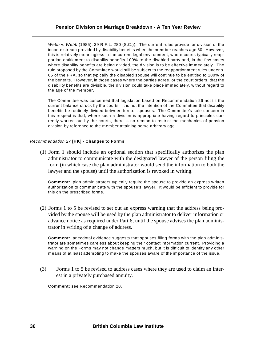*Webb* v. *Webb* (1985), 39 R.F.L. 280 (S.C.)). The current rules provide for division of the income stream provided by disability benefits when the member reaches age 60. However, this is relatively meaningless in the current legal environment, where courts typically reapportion entitlement to disability benefits 100% to the disabled party and, in the few cases where disability benefits are being divided, the division is to be effective immediately. The rule proposed by the Committee would still be subject to the reapportionment rules under s. 65 of the FRA, so that typically the disabled spouse will continue to be entitled to 100% of the benefits. However, in those cases where the parties agree, or the court orders, that the disability benefits are divisible, the division could take place immediately, without regard to the age of the member.

The Committee was concerned that legislation based on Recommendation 26 not tilt the current balance struck by the courts. It is not the intention of the Committee that disability benefits be routinely divided between former spouses. The Committee's sole concern in this respect is that, where such a division is appropriate having regard to principles currently worked out by the courts, there is no reason to restrict the mechanics of pension division by reference to the member attaining some arbitrary age.

# *Recommendation 27* **[HK] - Changes to Forms**

(1) Form 1 should include an optional section that specifically authorizes the plan administrator to communicate with the designated lawyer of the person filing the form (in which case the plan administrator would send the information to both the lawyer and the spouse) until the authorization is revoked in writing.

**Comment:** plan administrators typically require the spouse to provide an express written authorization to communicate with the spouse's lawyer. It would be efficient to provide for this on the prescribed forms.

(2) Forms 1 to 5 be revised to set out an express warning that the address being provided by the spouse will be used by the plan administrator to deliver information or advance notice as required under Part 6, until the spouse advises the plan administrator in writing of a change of address.

**Comment:** anecdotal evidence suggests that spouses filing forms with the plan administrator are sometimes careless about keeping their contact information current. Providing a warning on the Forms may not change matters much, but it is difficult to identify any other means of at least attempting to make the spouses aware of the importance of the issue.

(3) Forms 1 to 5 be revised to address cases where they are used to claim an interest in a privately purchased annuity.

**Comment:** see Recommendation 20.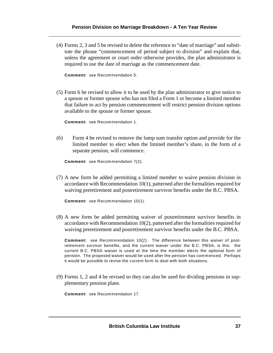(4) Forms 2, 3 and 5 be revised to delete the reference to "date of marriage" and substitute the phrase "commencement of period subject to division" and explain that, unless the agreement or court order otherwise provides, the plan administrator is required to use the date of marriage as the commencement date.

**Comment:** see Recommendation 5.

(5) Form 6 be revised to allow it to be used by the plan administrator to give notice to a spouse or former spouse who has not filed a Form 1 or become a limited member that failure to act by pension commencement will restrict pension division options available to the spouse or former spouse.

**Comment:** see Recommendation 1.

(6) Form 4 be revised to remove the lump sum transfer option and provide for the limited member to elect when the limited member's share, in the form of a separate pension, will commence.

**Comment:** see Recommendation 7(2).

(7) A new form be added permitting a limited member to waive pension division in accordance with Recommendation 10(1), patterned after the formalities required for waiving preretirement and postretirement survivor benefits under the B.C. PBSA.

**Comment:** see Recommendation 10(1).

(8) A new form be added permitting waiver of postretirement survivor benefits in accordance with Recommendation  $10(2)$ , patterned after the formalities required for waiving preretirement and postretirement survivor benefits under the B.C. PBSA.

**Comment:** see Recommendation 10(2). The difference between this waiver of postretirement survivor benefits, and the current waiver under the B.C. PBSA, is this: the current B.C. PBSA waiver is used at the time the member elects the optional form of pension. The proposed waiver would be used after the pension has commenced. Perhaps it would be possible to revise the current form to deal with both situations.

(9) Forms 1, 2 and 4 be revised so they can also be used for dividing pensions in supplementary pension plans.

**Comment:** see Recommendation 17.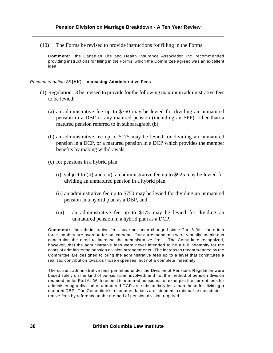(10) The Forms be revised to provide instructions for filling in the Forms.

**Comment:** the Canadian Life and Health Insurance Association Inc. recommended providing instructions for filling in the Forms, which the Committee agreed was an excellent idea.

# *Recommendation 28* **[HK] - Increasing Administrative Fees**

- (1) Regulation 13 be revised to provide for the following maximum administrative fees to be levied:
	- (a) an administrative fee up to \$750 may be levied for dividing an unmatured pension in a DBP or any matured pension (including an SPP), other than a matured pension referred to in subparagraph (b),
	- (b) an administrative fee up to \$175 may be levied for dividing an unmatured pension in a DCP, or a matured pension in a DCP which provides the member benefits by making withdrawals,
	- (c) for pensions in a hybrid plan
		- (i) subject to (ii) and (iii), an administrative fee up to \$925 may be levied for dividing an unmatured pension in a hybrid plan,
		- (ii) an administrative fee up to \$750 may be levied for dividing an unmatured pension in a hybrid plan as a DBP, and
		- (iii) an administrative fee up to \$175 may be levied for dividing an unmatured pension in a hybrid plan as a DCP.

**Comment:** the administrative fees have not been changed since Part 6 first came into force, so they are overdue for adjustment. Our correspondents were virtually unanimous concerning the need to increase the administrative fees. The Committee recognized, however, that the administrative fees were never intended to be a full indemnity for the costs of administering pension division arrangements. The increases recommended by the Committee are designed to bring the administrative fees up to a level that constitutes a realistic contribution towards those expenses, but not a complete indemnity.

The current administrative fees permitted under the Division of Pensions Regulation were based solely on the kind of pension plan involved, and not the method of pension division required under Part 6. With respect to matured pensions, for example, the current fees for administering a division of a matured DCP are substantially less than those for dividing a matured DBP. The Committee's recommendations are intended to rationalize the administrative fees by reference to the method of pension division required.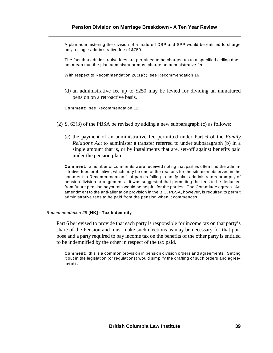A plan administering the division of a matured DBP and SPP would be entitled to charge only a single administrative fee of \$750.

The fact that administrative fees are permitted to be charged up to a specified ceiling does not mean that the plan administrator must charge an administrative fee.

W ith respect to Recommendation 28(1)(c), see Recommendation 16.

(d) an administrative fee up to \$250 may be levied for dividing an unmatured pension on a retroactive basis.

**Comment:** see Recommendation 12.

- (2) S. 63(3) of the PBSA be revised by adding a new subparagraph (c) as follows:
	- (c) the payment of an administrative fee permitted under Part 6 of the *Family Relations Act* to administer a transfer referred to under subparagraph (b) in a single amount that is, or by installments that are, set-off against benefits paid under the pension plan.

**Comment:** a number of comments were received noting that parties often find the administrative fees prohibitive, which may be one of the reasons for the situation observed in the comment to Recommendation 1 of parties failing to notify plan administrators promptly of pension division arrangements. It was suggested that permitting the fees to be deducted from future pension payments would be helpful for the parties. The Committee agrees. An amendment to the anti-alienation provision in the B.C. PBSA, however, is required to permit administrative fees to be paid from the pension when it commences.

### *Recommendation 29* **[HK] - Tax Indemnity**

Part 6 be revised to provide that each party is responsible for income tax on that party's share of the Pension and must make such elections as may be necessary for that purpose and a party required to pay income tax on the benefits of the other party is entitled to be indemnified by the other in respect of the tax paid.

**Comment:** this is a common provision in pension division orders and agreements. Setting it out in the legislation (or regulations) would simplify the drafting of such orders and agreements.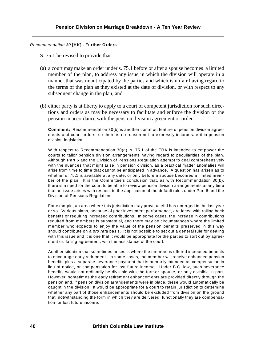# *Recommendation 30* **[HK] - Further Orders**

- S. 75.1 be revised to provide that
- (a) a court may make an order under s. 75.1 before or after a spouse becomes a limited member of the plan, to address any issue in which the division will operate in a manner that was unanticipated by the parties and which is unfair having regard to the terms of the plan as they existed at the date of division, or with respect to any subsequent change in the plan, and
- (b) either party is at liberty to apply to a court of competent jurisdiction for such directions and orders as may be necessary to facilitate and enforce the division of the pension in accordance with the pension division agreement or order.

**Comment:** Recommendation 30(b) is another common feature of pension division agreements and court orders, so there is no reason not to expressly incorporate it in pension division legislation.

W ith respect to Recommendation 30(a), s. 75.1 of the FRA is intended to empower the courts to tailor pension division arrangements having regard to peculiarities of the plan. Although Part 6 and the Division of Pensions Regulation attempt to deal comprehensively with the nuances that might arise in pension division, as a practical matter anomalies will arise from time to time that cannot be anticipated in advance. A question has arisen as to whether s. 75.1 is available at any date, or only before a spouse becomes a limited member of the plan. It is the Committee's conclusion that, as with Recommendation 30(b), there is a need for the court to be able to review pension division arrangements at any time that an issue arises with respect to the application of the default rules under Part 6 and the Division of Pensions Regulation.

For example, an area where this jurisdiction may prove useful has emerged in the last year or so. Various plans, because of poor investment performance, are faced with rolling back benefits or requiring increased contributions. In some cases, the increase in contributions required from members is substantial, and there may be circumstances where the limited member who expects to enjoy the value of the pension benefits preserved in this way should contribute on a *pro rata* basis. It is not possible to set out a general rule for dealing with this issue and it is one that it would be appropriate for the parties to sort out by agreement or, failing agreement, with the assistance of the court.

Another situation that sometimes arises is where the member is offered increased benefits to encourage early retirement. In some cases, the member will receive enhanced pension benefits plus a separate severance payment that is primarily intended as compensation in lieu of notice, or compensation for lost future income. Under B.C. law, such severance benefits would not ordinarily be divisible with the former spouse, or only divisible in part. However, sometimes the early retirement enhancements are provided directly through the pension and, if pension division arrangements were in place, these would automatically be caught in the division. It would be appropriate for a court to retain jurisdiction to determine whether any part of those enhancements should be excluded from division on the ground that, notwithstanding the form in which they are delivered, functionally they are compensation for lost future income.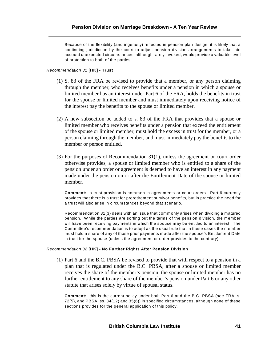Because of the flexibility (and ingenuity) reflected in pension plan design, it is likely that a continuing jurisdiction by the court to adjust pension division arrangements to take into account unexpected circumstances, although rarely invoked, would provide a valuable level of protection to both of the parties.

# *Recommendation 31* **[HK] - Trust**

- (1) S. 83 of the FRA be revised to provide that a member, or any person claiming through the member, who receives benefits under a pension in which a spouse or limited member has an interest under Part 6 of the FRA, holds the benefits in trust for the spouse or limited member and must immediately upon receiving notice of the interest pay the benefits to the spouse or limited member.
- (2) A new subsection be added to s. 83 of the FRA that provides that a spouse or limited member who receives benefits under a pension that exceed the entitlement of the spouse or limited member, must hold the excess in trust for the member, or a person claiming through the member, and must immediately pay the benefits to the member or person entitled.
- (3) For the purposes of Recommendation 31(1), unless the agreement or court order otherwise provides, a spouse or limited member who is entitled to a share of the pension under an order or agreement is deemed to have an interest in any payment made under the pension on or after the Entitlement Date of the spouse or limited member.

**Comment:** a trust provision is common in agreements or court orders. Part 6 currently provides that there is a trust for preretirement survivor benefits, but in practice the need for a trust will also arise in circumstances beyond that scenario.

Recommendation 31(3) deals with an issue that commonly arises when dividing a matured pension. While the parties are sorting out the terms of the pension division, the member will have been receiving payments in which the spouse may be entitled to an interest. The Committee's recommendation is to adopt as the usual rule that in these cases the member must hold a share of any of those prior payments made after the spouse's Entitlement Date in trust for the spouse (unless the agreement or order provides to the contrary).

### *Recommendation 32* **[HK] - No Further Rights After Pension Division**

(1) Part 6 and the B.C. PBSA be revised to provide that with respect to a pension in a plan that is regulated under the B.C. PBSA, after a spouse or limited member receives the share of the member's pension, the spouse or limited member has no further entitlement to any share of the member's pension under Part 6 or any other statute that arises solely by virtue of spousal status.

**Comment:** this is the current policy under both Part 6 and the B.C. PBSA (see FRA, s. 72(5), and PBSA, ss. 34(12) and 35(6)) in specified circumstances, although none of these sections provides for the general application of this policy.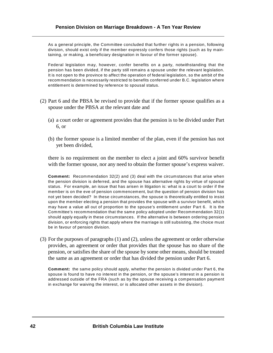As a general principle, the Committee concluded that further rights in a pension, following division, should exist only if the member expressly confers those rights (such as by maintaining, or making, a beneficiary designation in favour of the former spouse).

Federal legislation may, however, confer benefits on a party, notwithstanding that the pension has been divided, if the party still remains a spouse under the relevant legislation. It is not open to the province to affect the operation of federal legislation, so the ambit of the recommendation is necessarily restricted to benefits conferred under B.C. legislation where entitlement is determined by reference to spousal status.

- (2) Part 6 and the PBSA be revised to provide that if the former spouse qualifies as a spouse under the PBSA at the relevant date and
	- (a) a court order or agreement provides that the pension is to be divided under Part 6, or
	- (b) the former spouse is a limited member of the plan, even if the pension has not yet been divided,

there is no requirement on the member to elect a joint and 60% survivor benefit with the former spouse, nor any need to obtain the former spouse's express waiver.

**Comment:** Recommendation 32(2) and (3) deal with the circumstances that arise when the pension division is deferred, and the spouse has alternative rights by virtue of spousal status. For example, an issue that has arisen in litigation is: what is a court to order if the member is on the eve of pension commencement, but the question of pension division has not yet been decided? In these circumstances, the spouse is theoretically entitled to insist upon the member electing a pension that provides the spouse with a survivor benefit, which may have a value all out of proportion to the spouse's entitlement under Part 6. It is the Committee's recommendation that the same policy adopted under Recommendation 32(1) should apply equally in these circumstances. If the alternative is between ordering pension division, or enforcing rights that apply where the marriage is still subsisting, the choice must be in favour of pension division.

(3) For the purposes of paragraphs (1) and (2), unless the agreement or order otherwise provides, an agreement or order that provides that the spouse has no share of the pension, or satisfies the share of the spouse by some other means, should be treated the same as an agreement or order that has divided the pension under Part 6.

**Comment:** the same policy should apply, whether the pension is divided under Part 6, the spouse is found to have no interest in the pension, or the spouse's interest in a pension is addressed outside of the FRA (such as by the spouse receiving a compensation payment in exchange for waiving the interest, or is allocated other assets in the division).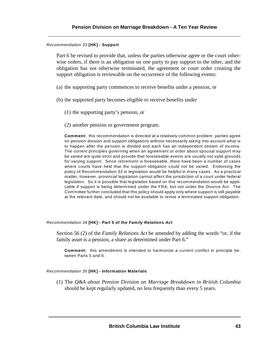### *Recommendation 33* **[HK] - Support**

Part 6 be revised to provide that, unless the parties otherwise agree or the court otherwise orders, if there is an obligation on one party to pay support to the other, and the obligation has not otherwise terminated, the agreement or court order creating the support obligation is reviewable on the occurrence of the following events:

- (a) the supporting party commences to receive benefits under a pension, or
- (b) the supported party becomes eligible to receive benefits under
	- (1) the supporting party's pension, or
	- (2) another pension or government program.

**Comment:** this recommendation is directed at a relatively common problem: parties agree on pension division and support obligations without necessarily taking into account what is to happen after the pension is divided and each has an independent stream of income. The current principles governing when an agreement or order about spousal support may be varied are quite strict and provide that foreseeable events are usually not valid grounds for varying support. Since retirement is foreseeable, there have been a number of cases where courts have held that the support obligation could not be varied. Endorsing the policy of Recommendation 33 in legislation would be helpful in many cases. As a practical matter, however, provincial legislation cannot affect the jurisdiction of a court under federal legislation. So it is possible that legislation based on this recommendation would be applicable if support is being determined under the FRA, but not under the Divorce Act. The Committee further concluded that this policy should apply only where support is still payable at the relevant date, and should not be available to revive a terminated support obligation.

### *Recommendation 34* **[HK] - Part 5 of the** *Family Relations Act*

Section 56 (2) of the *Family Relations Act* be amended by adding the words "or, if the family asset is a pension, a share as determined under Part 6."

**Comment:** this amendment is intended to harmonize a current conflict in principle between Parts 5 and 6.

# *Recommendation 35* **[HK] - Information Materials**

(1) The *Q&A about Pension Division on Marriage Breakdown in British Columbia* should be kept regularly updated, no less frequently than every 5 years.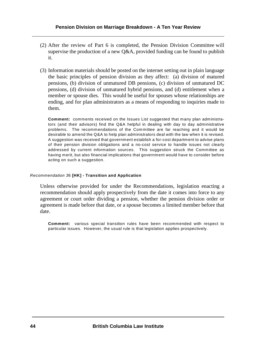- (2) After the review of Part 6 is completed, the Pension Division Committee will supervise the production of a new Q&A, provided funding can be found to publish it.
- (3) Information materials should be posted on the internet setting out in plain language the basic principles of pension division as they affect: (a) division of matured pensions, (b) division of unmatured DB pensions, (c) division of unmatured DC pensions, (d) division of unmatured hybrid pensions, and (d) entitlement when a member or spouse dies. This would be useful for spouses whose relationships are ending, and for plan administrators as a means of responding to inquiries made to them.

**Comment:** comments received on the Issues List suggested that many plan administrators (and their advisors) find the Q&A helpful in dealing with day to day administrative problems. The recommendations of the Committee are far reaching and it would be desirable to amend the Q&A to help plan administrators deal with the law when it is revised. A suggestion was received that government establish a for-cost department to advise plans of their pension division obligations and a no-cost service to handle issues not clearly addressed by current information sources. This suggestion struck the Committee as having merit, but also financial implications that government would have to consider before acting on such a suggestion.

# *Recommendation 3*6 **[HK] - Transition and Application**

Unless otherwise provided for under the Recommendations, legislation enacting a recommendation should apply prospectively from the date it comes into force to any agreement or court order dividing a pension, whether the pension division order or agreement is made before that date, or a spouse becomes a limited member before that date.

**Comment:** various special transition rules have been recommended with respect to particular issues. However, the usual rule is that legislation applies prospectively.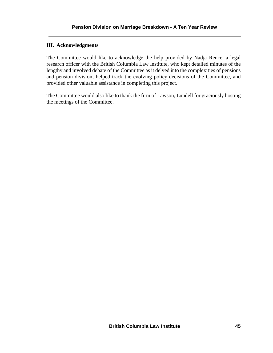# **III. Acknowledgments**

The Committee would like to acknowledge the help provided by Nadja Rence, a legal research officer with the British Columbia Law Institute, who kept detailed minutes of the lengthy and involved debate of the Committee as it delved into the complexities of pensions and pension division, helped track the evolving policy decisions of the Committee, and provided other valuable assistance in completing this project.

The Committee would also like to thank the firm of Lawson, Lundell for graciously hosting the meetings of the Committee.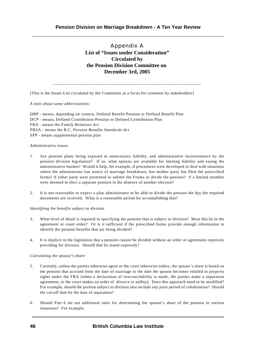Appendix A **List of "Issues under Consideration" Circulated by the Pension Division Committee on December 3rd, 2005**

\_\_\_\_\_\_\_\_\_\_\_\_\_\_\_\_\_\_\_\_\_\_\_\_\_\_\_\_\_\_\_\_\_\_\_\_\_\_\_\_\_\_\_\_\_\_\_\_\_\_\_\_\_\_\_\_\_\_\_\_\_\_\_\_\_\_

[This is the Issues List circulated by the Committee as a focus for comment by stakeholders]

*A note about some abbreviations:*

DBP - means, depending on context, Defined Benefit Pension or Defined Benefit Plan DCP - means, Defined Contribution Pension or Defined Contribution Plan FRA - means the *Family Relations Act* PBSA - means the B.C. *Pension Benefits Standards Act* SPP - means supplemental pension plan

### *Administrative issues*

- 1. Are pension plans being exposed to unnecessary liability, and administrative inconvenience by the pension division legislation? If so, what options are available for limiting liability and easing the administrative burden? Would it help, for example, if procedures were developed to deal with situations where the administrator has notice of marriage breakdown, but neither party has filed the prescribed forms? if either party were permitted to submit the Forms to divide the pension? if a limited member were deemed to elect a separate pension in the absence of another election?
- 2. It is not reasonable to expect a plan administrator to be able to divide the pension the day the required documents are received. What is a reasonable period for accomplishing that?

#### *Identifying the benefits subject to division*

- 3. What level of detail is required in specifying the pension that is subject to division? Must this be in the agreement or court order? Or is it sufficient if the prescribed forms provide enough information to identify the pension benefits that are being divided?
- 4. It is implicit in the legislation that a pension cannot be divided without an order or agreement expressly providing for division. Should that be stated expressly?

#### *Calculating the spouse's share*

- 5. Currently, unless the parties otherwise agree or the court otherwise orders, the spouse's share is based on the pension that accrued from the date of marriage to the date the spouse becomes entitled to property rights under the FRA (when a declaration of irreconcilability is made, the parties make a separation agreement, or the court makes an order of divorce or nullity). Does this approach need to be modified? For example, should the portion subject to division also include any prior period of cohabitation? Should the cut-off date be the date of separation?
- 6. Should Part 6 set out additional rules for determining the spouse's share of the pension in various situations? For example,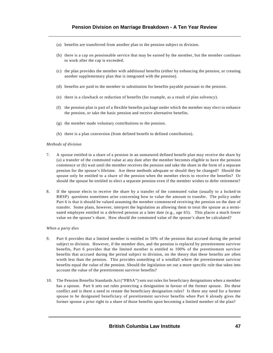- (a) benefits are transferred from another plan to the pension subject to division.
- (b) there is a cap on pensionable service that may be earned by the member, but the member continues to work after the cap is exceeded.
- (c) the plan provides the member with additional benefits (either by enhancing the pension, or creating another supplementary plan that is integrated with the pension).
- (d) benefits are paid to the member in substitution for benefits payable pursuant to the pension.
- (e) there is a clawback or reduction of benefits (for example, as a result of plan solvency).
- (f) the pension plan is part of a flexible benefits package under which the member may elect to enhance the pension, or take the basic pension and receive alternative benefits.
- (g) the member made voluntary contributions to the pension.
- (h) there is a plan conversion (from defined benefit to defined contribution).

#### *Methods of division*

- 7. A spouse entitled to a share of a pension in an unmatured defined benefit plan may receive the share by (a) a transfer of the commuted value at any date after the member becomes eligible to have the pension commence or (b) wait until the member receives the pension and take the share in the form of a separate pension for the spouse's lifetime. Are these methods adequate or should they be changed? Should the spouse only be entitled to a share of the pension when the member elects to receive the benefits? Or should the spouse be entitled to elect a separate pension even if the member wishes to defer retirement?
- 8. If the spouse elects to receive the share by a transfer of the commuted value (usually to a locked-in RRSP) questions sometimes arise concerning how to value the amount to transfer. The policy under Part 6 is that it should be valued assuming the member commenced receiving the pension on the date of transfer. Some plans, however, interpret the legislation as allowing them to treat the spouse as a terminated employee entitled to a deferred pension at a later date (e.g., age 65). This places a much lower value on the spouse's share. How should the commuted value of the spouse's share be calculated?

#### *When a party dies*

- 9. Part 6 provides that a limited member is entitled to 50% of the pension that accrued during the period subject to division. However, if the member dies, and the pension is replaced by preretirement survivor benefits, Part 6 provides that the limited member is entitled to 100% of the preretirement survivor benefits that accrued during the period subject to division, on the theory that these benefits are often worth less than the pension. This provides something of a windfall where the preretirement survivor benefits equal the value of the pension. Should the legislation set out a more specific rule that takes into account the value of the preretirement survivor benefits?
- 10. The Pension Benefits Standards Act ("PBSA") sets out rules for beneficiary designations when a member has a spouse. Part 6 sets out rules protecting a designation in favour of the former spouse. Do these conflict and is there a need to restate the beneficiary designation rules? Is there any need for a former spouse to be designated beneficiary of preretirement survivor benefits when Part 6 already gives the former spouse a prior right to a share of those benefits upon becoming a limited member of the plan?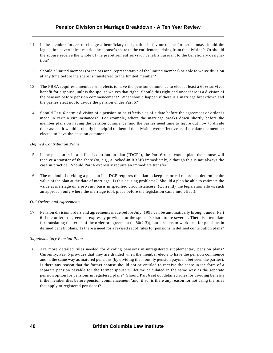- 11. If the member forgets to change a beneficiary designation in favour of the former spouse, should the legislation nevertheless restrict the spouse's share to the entitlement arising from the division? Or should the spouse receive the whole of the preretirement survivor benefits pursuant to the beneficiary designation?
- 12. Should a limited member (or the personal representative of the limited member) be able to waive division at any time before the share is transferred to the limited member?
- 13. The PBSA requires a member who elects to have the pension commence to elect at least a 60% survivor benefit for a spouse, unless the spouse waives that right. Should this right end once there is a division of the pension before pension commencement? What should happen if there is a marriage breakdown and the parties elect not to divide the pension under Part 6?
- 14. Should Part 6 permit division of a pension to be effective as of a date before the agreement or order is made in certain circumstances? For example, where the marriage breaks down shortly before the member plans on having the pension commence, and the parties need time to figure out how to divide their assets, it would probably be helpful to them if the division were effective as of the date the member elected to have the pension commence.

### *Defined Contribution Plans*

- 15. If the pension is in a defined contribution plan ("DCP"), the Part 6 rules contemplate the spouse will receive a transfer of the share (to, e.g., a locked-in RRSP) immediately, although this is not always the case in practice. Should Part 6 expressly require an immediate transfer?
- 16. The method of dividing a pension in a DCP requires the plan to keep historical records to determine the value of the plan at the date of marriage. Is this causing problems? Should a plan be able to estimate the value at marriage on a *pro rata* basis in specified circumstances? (Currently the legislation allows such an approach only where the marriage took place before the legislation came into effect).

#### *Old Orders and Agreements*

17. Pension division orders and agreements made before July, 1995 can be automatically brought under Part 6 if the order or agreement expressly provides for the spouse's share to be severed. There is a template for translating the terms of the order or agreement  $(s, 80(2.3))$ , but it seems to work best for pensions in defined benefit plans. Is there a need for a revised set of rules for pensions in defined contribution plans?

#### *Supplementary Pension Plans*

18. Are more detailed rules needed for dividing pensions in unregistered supplementary pension plans? Currently, Part 6 provides that they are divided when the member elects to have the pension commence and in the same way as matured pensions (by dividing the monthly pension payment between the parties). Is there any reason that the former spouse should not be entitled to receive the share in the form of a separate pension payable for the former spouse's lifetime calculated in the same way as the separate pension option for pensions in registered plans? Should Part 6 set out detailed rules for dividing benefits if the member dies before pension commencement (and, if so, is there any reason for not using the rules that apply to registered pensions)?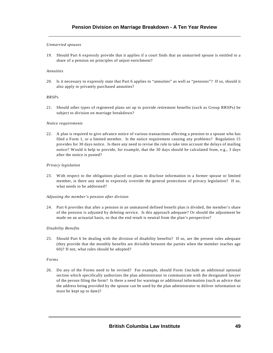### *Unmarried spouses*

19. Should Part 6 expressly provide that it applies if a court finds that an unmarried spouse is entitled to a share of a pension on principles of unjust enrichment?

### *Annuities*

20. Is it necessary to expressly state that Part 6 applies to "annuities" as well as "pensions"? If so, should it also apply to privately purchased annuities?

### *RRSPs*

21. Should other types of registered plans set up to provide retirement benefits (such as Group RRSPs) be subject to division on marriage breakdown?

#### *Notice requirements*

22. A plan is required to give advance notice of various transactions affecting a pension to a spouse who has filed a Form 1, or a limited member. Is the notice requirement causing any problems? Regulation 15 provides for 30 days notice. Is there any need to revise the rule to take into account the delays of mailing notice? Would it help to provide, for example, that the 30 days should be calculated from, e.g., 3 days after the notice is posted?

#### *Privacy legislation*

23. With respect to the obligations placed on plans to disclose information to a former spouse or limited member, is there any need to expressly override the general protections of privacy legislation? If so, what needs to be addressed?

#### *Adjusting the member's pension after division*

24. Part 6 provides that after a pension in an unmatured defined benefit plan is divided, the member's share of the pension is adjusted by deleting service. Is this approach adequate? Or should the adjustment be made on an actuarial basis, so that the end result is neutral from the plan's perspective?

#### *Disability Benefits*

25. Should Part 6 be dealing with the division of disability benefits? If so, are the present rules adequate (they provide that the monthly benefits are divisible between the parties when the member reaches age 60)? If not, what rules should be adopted?

#### *Forms*

26. Do any of the Forms need to be revised? For example, should Form 1include an additional optional section which specifically authorizes the plan administrator to communicate with the designated lawyer of the person filing the form? Is there a need for warnings or additional information (such as advice that the address being provided by the spouse can be used by the plan administrator to deliver information so must be kept up to date)?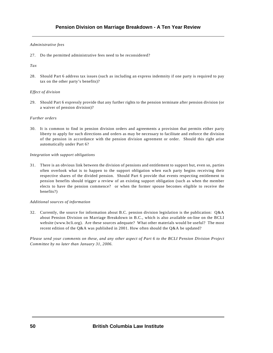### *Administrative fees*

27. Do the permitted administrative fees need to be reconsidered?

### *Tax*

28. Should Part 6 address tax issues (such as including an express indemnity if one party is required to pay tax on the other party's benefits)?

### *Effect of division*

29. Should Part 6 expressly provide that any further rights to the pension terminate after pension division (or a waiver of pension division)?

### *Further orders*

30. It is common to find in pension division orders and agreements a provision that permits either party liberty to apply for such directions and orders as may be necessary to facilitate and enforce the division of the pension in accordance with the pension division agreement or order. Should this right arise automatically under Part 6?

### *Integration with support obligations*

31. There is an obvious link between the division of pensions and entitlement to support but, even so, parties often overlook what is to happen to the support obligation when each party begins receiving their respective shares of the divided pension. Should Part 6 provide that events respecting entitlement to pension benefits should trigger a review of an existing support obligation (such as when the member elects to have the pension commence? or when the former spouse becomes eligible to receive the benefits?)

#### *Additional sources of information*

32. Currently, the source for information about B.C. pension division legislation is the publication: Q&A about Pension Division on Marriage Breakdown in B.C., which is also available on-line on the BCLI website (www.bcli.org). Are these sources adequate? What other materials would be useful? The most recent edition of the Q&A was published in 2001. How often should the Q&A be updated?

*Please send your comments on these, and any other aspect of Part 6 to the BCLI Pension Division Project Committee by no later than January 31, 2006.*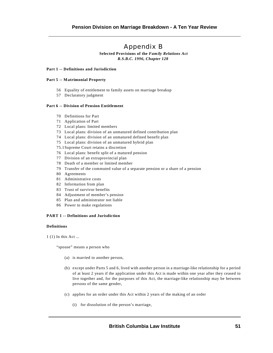# Appendix B

**Selected Provisions of the** *Family Relations Act R.S.B.C. 1996, Chapter 128* 

#### **Part 1 -- Definitions and Jurisdiction**

#### **Part 5 -- Matrimonial Property**

- 56 Equality of entitlement to family assets on marriage breakup
- 57 Declaratory judgment

#### **Part 6 -- Division of Pension Entitlement**

- 70 Definitions for Part
- 71 Application of Part
- 72 Local plans: limited members
- 73 Local plans: division of an unmatured defined contribution plan
- 74 Local plans: division of an unmatured defined benefit plan
- 75 Local plans: division of an unmatured hybrid plan
- 75.1Supreme Court retains a discretion
- 76 Local plans: benefit split of a matured pension
- 77 Division of an extraprovincial plan
- 78 Death of a member or limited member
- 79 Transfer of the commuted value of a separate pension or a share of a pension
- 80 Agreements
- 81 Administrative costs
- 82 Information from plan
- 83 Trust of survivor benefits
- 84 Adjustment of member's pension
- 85 Plan and administrator not liable
- 86 Power to make regulations

### **PART 1 -- Definitions and Jurisdiction**

### **Definitions**

1 (1) In this Act ...

"spouse" means a person who

- (a) is married to another person,
- (b) except under Parts 5 and 6, lived with another person in a marriage-like relationship for a period of at least 2 years if the application under this Act is made within one year after they ceased to live together and, for the purposes of this Act, the marriage-like relationship may be between persons of the same gender,
- (c) applies for an order under this Act within 2 years of the making of an order
	- (i) for dissolution of the person's marriage,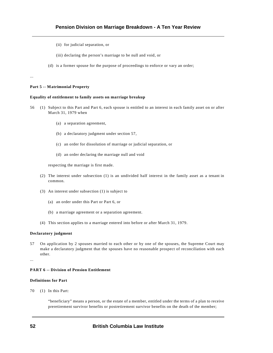- (ii) for judicial separation, or
- (iii) declaring the person's marriage to be null and void, or
- (d) is a former spouse for the purpose of proceedings to enforce or vary an order;

#### **Part 5 -- Matrimonial Property**

...

#### **Equality of entitlement to family assets on marriage breakup**

- 56 (1) Subject to this Part and Part 6, each spouse is entitled to an interest in each family asset on or after March 31, 1979 when
	- (a) a separation agreement,
	- (b) a declaratory judgment under section 57,
	- (c) an order for dissolution of marriage or judicial separation, or
	- (d) an order declaring the marriage null and void

respecting the marriage is first made.

- (2) The interest under subsection (1) is an undivided half interest in the family asset as a tenant in common.
- (3) An interest under subsection (1) is subject to
	- (a) an order under this Part or Part 6, or
	- (b) a marriage agreement or a separation agreement.
- (4) This section applies to a marriage entered into before or after March 31, 1979.

#### **Declaratory judgment**

57 On application by 2 spouses married to each other or by one of the spouses, the Supreme Court may make a declaratory judgment that the spouses have no reasonable prospect of reconciliation with each other.

...

### **PART 6 -- Division of Pension Entitlement**

#### **Definitions for Part**

70 (1) In this Part:

"beneficiary" means a person, or the estate of a member, entitled under the terms of a plan to receive preretirement survivor benefits or postretirement survivor benefits on the death of the member;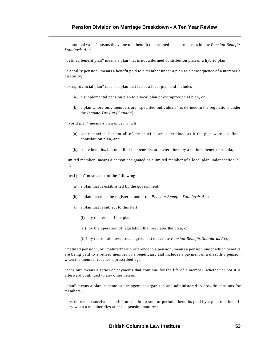"commuted value" means the value of a benefit determined in accordance with the *Pension Benefits Standards Act*;

"defined benefit plan" means a plan that is not a defined contribution plan or a hybrid plan;

"disability pension" means a benefit paid to a member under a plan as a consequence of a member's disability;

"extraprovincial plan" means a plan that is not a local plan and includes

- (a) a supplemental pension plan to a local plan or extraprovincial plan, or
- (b) a plan whose only members are "specified individuals" as defined in the regulations under the *Income Tax Act (Canada)*;

"hybrid plan" means a plan under which

- (a) some benefits, but not all of the benefits, are determined as if the plan were a defined contribution plan, and
- (b) some benefits, but not all of the benefits, are determined by a defined benefit formula;

"limited member" means a person designated as a limited member of a local plan under section 72 (1);

"local plan" means one of the following:

- (a) a plan that is established by the government;
- (b) a plan that must be registered under the *Pension Benefits Standards Act*;
- (c) a plan that is subject to this Part
	- (i) by the terms of the plan,
	- (ii) by the operation of legislation that regulates the plan, or
	- (iii) by reason of a reciprocal agreement under the *Pension Benefits Standards Act*;

"matured pension", or "matured" with reference to a pension, means a pension under which benefits are being paid to a retired member or a beneficiary and includes a payment of a disability pension when the member reaches a prescribed age;

"pension" means a series of payments that continue for the life of a member, whether or not it is afterward continued to any other person;

"plan" means a plan, scheme or arrangement organized and administered to provide pensions for members;

"postretirement survivor benefit" means lump sum or periodic benefits paid by a plan to a beneficiary when a member dies after the pension matures;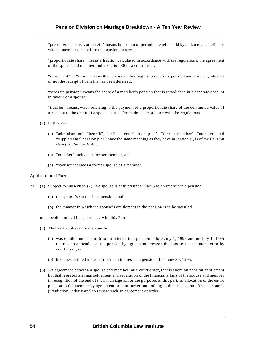"preretirement survivor benefit" means lump sum or periodic benefits paid by a plan to a beneficiary when a member dies before the pension matures;

"proportionate share" means a fraction calculated in accordance with the regulations, the agreement of the spouse and member under section 80 or a court order;

"retirement" or "retire" means the date a member begins to receive a pension under a plan, whether or not the receipt of benefits has been deferred;

"separate pension" means the share of a member's pension that is established in a separate account in favour of a spouse;

"transfer" means, when referring to the payment of a proportionate share of the commuted value of a pension to the credit of a spouse, a transfer made in accordance with the regulations.

- (2) In this Part:
	- (a) "administrator", "benefit", "defined contribution plan", "former member", "member" and "supplemental pension plan" have the same meaning as they have in section 1 (1) of the *Pension Benefits Standards Act*,
	- (b) "member" includes a former member, and
	- (c) "spouse" includes a former spouse of a member.

#### **Application of Part**

- 71 (1) Subject to subsection (2), if a spouse is entitled under Part 5 to an interest in a pension,
	- (a) the spouse's share of the pension, and
	- (b) the manner in which the spouse's entitlement in the pension is to be satisfied

must be determined in accordance with this Part.

- (2) This Part applies only if a spouse
	- (a) was entitled under Part 5 to an interest in a pension before July 1, 1995 and on July 1, 1995 there is no allocation of the pension by agreement between the spouse and the member or by court order, or
	- (b) becomes entitled under Part 5 to an interest in a pension after June 30, 1995.
- (3) An agreement between a spouse and member, or a court order, that is silent on pension entitlement but that represents a final settlement and separation of the financial affairs of the spouse and member in recognition of the end of their marriage is, for the purposes of this part, an allocation of the entire pension to the member by agreement or court order but nothing in this subsection affects a court's jurisdiction under Part 5 to review such an agreement or order.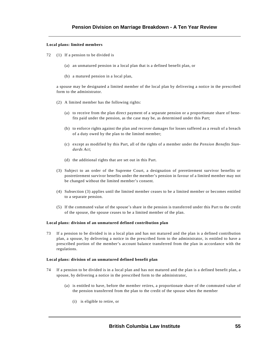#### **Local plans: limited members**

- 72 (1) If a pension to be divided is
	- (a) an unmatured pension in a local plan that is a defined benefit plan, or
	- (b) a matured pension in a local plan,

a spouse may be designated a limited member of the local plan by delivering a notice in the prescribed form to the administrator.

- (2) A limited member has the following rights:
	- (a) to receive from the plan direct payment of a separate pension or a proportionate share of benefits paid under the pension, as the case may be, as determined under this Part;
	- (b) to enforce rights against the plan and recover damages for losses suffered as a result of a breach of a duty owed by the plan to the limited member;
	- (c) except as modified by this Part, all of the rights of a member under the *Pension Benefits Standards Act*;
	- (d) the additional rights that are set out in this Part.
- (3) Subject to an order of the Supreme Court, a designation of preretirement survivor benefits or postretirement survivor benefits under the member's pension in favour of a limited member may not be changed without the limited member's consent.
- (4) Subsection (3) applies until the limited member ceases to be a limited member or becomes entitled to a separate pension.
- (5) If the commuted value of the spouse's share in the pension is transferred under this Part to the credit of the spouse, the spouse ceases to be a limited member of the plan.

#### **Local plans: division of an unmatured defined contribution plan**

73 If a pension to be divided is in a local plan and has not matured and the plan is a defined contribution plan, a spouse, by delivering a notice in the prescribed form to the administrator, is entitled to have a prescribed portion of the member's account balance transferred from the plan in accordance with the regulations.

#### **Local plans: division of an unmatured defined benefit plan**

- 74 If a pension to be divided is in a local plan and has not matured and the plan is a defined benefit plan, a spouse, by delivering a notice in the prescribed form to the administrator,
	- (a) is entitled to have, before the member retires, a proportionate share of the commuted value of the pension transferred from the plan to the credit of the spouse when the member
		- (i) is eligible to retire, or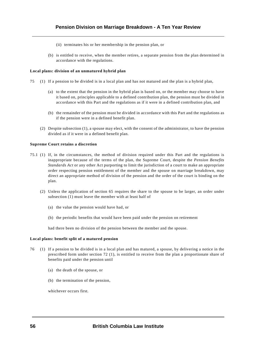- (ii) terminates his or her membership in the pension plan, or
- (b) is entitled to receive, when the member retires, a separate pension from the plan determined in accordance with the regulations.

#### **Local plans: division of an unmatured hybrid plan**

- 75 (1) If a pension to be divided is in a local plan and has not matured and the plan is a hybrid plan,
	- (a) to the extent that the pension in the hybrid plan is based on, or the member may choose to have it based on, principles applicable to a defined contribution plan, the pension must be divided in accordance with this Part and the regulations as if it were in a defined contribution plan, and
	- (b) the remainder of the pension must be divided in accordance with this Part and the regulations as if the pension were in a defined benefit plan.
	- (2) Despite subsection (1), a spouse may elect, with the consent of the administrator, to have the pension divided as if it were in a defined benefit plan.

#### **Supreme Court retains a discretion**

- 75.1 (1) If, in the circumstances, the method of division required under this Part and the regulations is inappropriate because of the terms of the plan, the Supreme Court, despite the *Pension Benefits Standards Act* or any other Act purporting to limit the jurisdiction of a court to make an appropriate order respecting pension entitlement of the member and the spouse on marriage breakdown, may direct an appropriate method of division of the pension and the order of the court is binding on the plan.
	- (2) Unless the application of section 65 requires the share to the spouse to be larger, an order under subsection (1) must leave the member with at least half of
		- (a) the value the pension would have had, or
		- (b) the periodic benefits that would have been paid under the pension on retirement

had there been no division of the pension between the member and the spouse.

#### **Local plans: benefit split of a matured pension**

- 76 (1) If a pension to be divided is in a local plan and has matured, a spouse, by delivering a notice in the prescribed form under section 72 (1), is entitled to receive from the plan a proportionate share of benefits paid under the pension until
	- (a) the death of the spouse, or
	- (b) the termination of the pension,

whichever occurs first.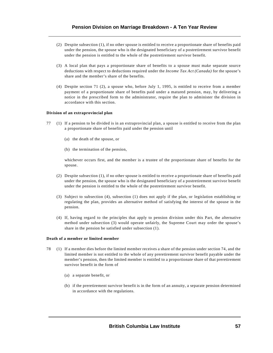- (2) Despite subsection (1), if no other spouse is entitled to receive a proportionate share of benefits paid under the pension, the spouse who is the designated beneficiary of a postretirement survivor benefit under the pension is entitled to the whole of the postretirement survivor benefit.
- (3) A local plan that pays a proportionate share of benefits to a spouse must make separate source deductions with respect to deductions required under the *Income Tax Act (Canada)* for the spouse's share and the member's share of the benefits.
- (4) Despite section 71 (2), a spouse who, before July 1, 1995, is entitled to receive from a member payment of a proportionate share of benefits paid under a matured pension, may, by delivering a notice in the prescribed form to the administrator, require the plan to administer the division in accordance with this section.

#### **Division of an extraprovincial plan**

- 77 (1) If a pension to be divided is in an extraprovincial plan, a spouse is entitled to receive from the plan a proportionate share of benefits paid under the pension until
	- (a) the death of the spouse, or
	- (b) the termination of the pension,

whichever occurs first, and the member is a trustee of the proportionate share of benefits for the spouse.

- (2) Despite subsection (1), if no other spouse is entitled to receive a proportionate share of benefits paid under the pension, the spouse who is the designated beneficiary of a postretirement survivor benefit under the pension is entitled to the whole of the postretirement survivor benefit.
- (3) Subject to subsection (4), subsection (1) does not apply if the plan, or legislation establishing or regulating the plan, provides an alternative method of satisfying the interest of the spouse in the pension.
- (4) If, having regard to the principles that apply to pension division under this Part, the alternative method under subsection (3) would operate unfairly, the Supreme Court may order the spouse's share in the pension be satisfied under subsection (1).

#### **Death of a member or limited member**

- 78 (1) If a member dies before the limited member receives a share of the pension under section 74, and the limited member is not entitled to the whole of any preretirement survivor benefit payable under the member's pension, then the limited member is entitled to a proportionate share of that preretirement survivor benefit in the form of
	- (a) a separate benefit, or
	- (b) if the preretirement survivor benefit is in the form of an annuity, a separate pension determined in accordance with the regulations.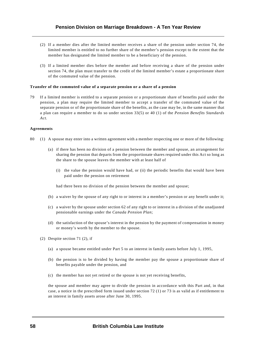- (2) If a member dies after the limited member receives a share of the pension under section 74, the limited member is entitled to no further share of the member's pension except to the extent that the member has designated the limited member to be a beneficiary of the pension.
- (3) If a limited member dies before the member and before receiving a share of the pension under section 74, the plan must transfer to the credit of the limited member's estate a proportionate share of the commuted value of the pension.

#### **Transfer of the commuted value of a separate pension or a share of a pension**

79 If a limited member is entitled to a separate pension or a proportionate share of benefits paid under the pension, a plan may require the limited member to accept a transfer of the commuted value of the separate pension or of the proportionate share of the benefits, as the case may be, in the same manner that a plan can require a member to do so under section 33(5) or 40 (1) of the *Pension Benefits Standards Act*.

#### **Agreements**

- 80 (1) A spouse may enter into a written agreement with a member respecting one or more of the following:
	- (a) if there has been no division of a pension between the member and spouse, an arrangement for sharing the pension that departs from the proportionate shares required under this Act so long as the share to the spouse leaves the member with at least half of
		- (i) the value the pension would have had, or (ii) the periodic benefits that would have been paid under the pension on retirement

had there been no division of the pension between the member and spouse;

- (b) a waiver by the spouse of any right to or interest in a member's pension or any benefit under it;
- (c) a waiver by the spouse under section 62 of any right to or interest in a division of the unadjusted pensionable earnings under the *Canada Pension Plan*;
- (d) the satisfaction of the spouse's interest in the pension by the payment of compensation in money or money's worth by the member to the spouse.
- (2) Despite section 71 (2), if
	- (a) a spouse became entitled under Part 5 to an interest in family assets before July 1, 1995,
	- (b) the pension is to be divided by having the member pay the spouse a proportionate share of benefits payable under the pension, and
	- (c) the member has not yet retired or the spouse is not yet receiving benefits,

the spouse and member may agree to divide the pension in accordance with this Part and, in that case, a notice in the prescribed form issued under section 72 (1) or 73 is as valid as if entitlement to an interest in family assets arose after June 30, 1995.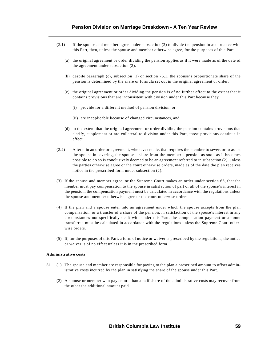- (2.1) If the spouse and member agree under subsection (2) to divide the pension in accordance with this Part, then, unless the spouse and member otherwise agree, for the purposes of this Part
	- (a) the original agreement or order dividing the pension applies as if it were made as of the date of the agreement under subsection (2),
	- (b) despite paragraph (c), subsection (1) or section 75.1, the spouse's proportionate share of the pension is determined by the share or formula set out in the original agreement or order,
	- (c) the original agreement or order dividing the pension is of no further effect to the extent that it contains provisions that are inconsistent with division under this Part because they
		- (i) provide for a different method of pension division, or
		- (ii) are inapplicable because of changed circumstances, and
	- (d) to the extent that the original agreement or order dividing the pension contains provisions that clarify, supplement or are collateral to division under this Part, those provisions continue in effect.
- (2.2) A term in an order or agreement, whenever made, that requires the member to sever, or to assist the spouse in severing, the spouse's share from the member's pension as soon as it becomes possible to do so is conclusively deemed to be an agreement referred to in subsection (2), unless the parties otherwise agree or the court otherwise orders, made as of the date the plan receives notice in the prescribed form under subsection (2).
- (3) If the spouse and member agree, or the Supreme Court makes an order under section 66, that the member must pay compensation to the spouse in satisfaction of part or all of the spouse's interest in the pension, the compensation payment must be calculated in accordance with the regulations unless the spouse and member otherwise agree or the court otherwise orders.
- (4) If the plan and a spouse enter into an agreement under which the spouse accepts from the plan compensation, or a transfer of a share of the pension, in satisfaction of the spouse's interest in any circumstances not specifically dealt with under this Part, the compensation payment or amount transferred must be calculated in accordance with the regulations unless the Supreme Court otherwise orders.
- (5) If, for the purposes of this Part, a form of notice or waiver is prescribed by the regulations, the notice or waiver is of no effect unless it is in the prescribed form.

#### **Administrative costs**

- 81 (1) The spouse and member are responsible for paying to the plan a prescribed amount to offset administrative costs incurred by the plan in satisfying the share of the spouse under this Part.
	- (2) A spouse or member who pays more than a half share of the administrative costs may recover from the other the additional amount paid.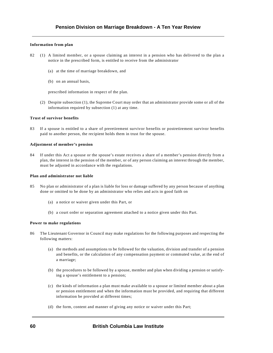### **Information from plan**

- 82 (1) A limited member, or a spouse claiming an interest in a pension who has delivered to the plan a notice in the prescribed form, is entitled to receive from the administrator
	- (a) at the time of marriage breakdown, and
	- (b) on an annual basis,

prescribed information in respect of the plan.

(2) Despite subsection (1), the Supreme Court may order that an administrator provide some or all of the information required by subsection (1) at any time.

### **Trust of survivor benefits**

83 If a spouse is entitled to a share of preretirement survivor benefits or postretirement survivor benefits paid to another person, the recipient holds them in trust for the spouse.

#### **Adjustment of member's pension**

84 If under this Act a spouse or the spouse's estate receives a share of a member's pension directly from a plan, the interest in the pension of the member, or of any person claiming an interest through the member, must be adjusted in accordance with the regulations.

#### **Plan and administrator not liable**

- 85 No plan or administrator of a plan is liable for loss or damage suffered by any person because of anything done or omitted to be done by an administrator who relies and acts in good faith on
	- (a) a notice or waiver given under this Part, or
	- (b) a court order or separation agreement attached to a notice given under this Part.

#### **Power to make regulations**

- 86 The Lieutenant Governor in Council may make regulations for the following purposes and respecting the following matters:
	- (a) the methods and assumptions to be followed for the valuation, division and transfer of a pension and benefits, or the calculation of any compensation payment or commuted value, at the end of a marriage;
	- (b) the procedures to be followed by a spouse, member and plan when dividing a pension or satisfying a spouse's entitlement to a pension;
	- (c) the kinds of information a plan must make available to a spouse or limited member about a plan or pension entitlement and when the information must be provided, and requiring that different information be provided at different times;
	- (d) the form, content and manner of giving any notice or waiver under this Part;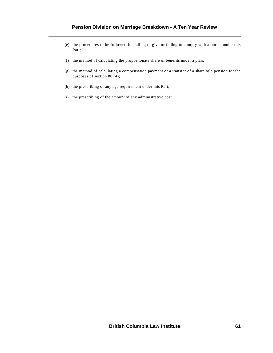- (e) the procedures to be followed for failing to give or failing to comply with a notice under this Part;
- (f) the method of calculating the proportionate share of benefits under a plan;
- (g) the method of calculating a compensation payment or a transfer of a share of a pension for the purposes of section 80 (4);
- (h) the prescribing of any age requirement under this Part;
- (i) the prescribing of the amount of any administrative cost.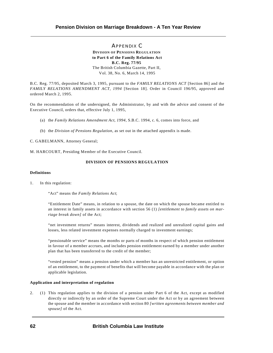APPENDIX C **DIVISION OF PENSIONS REGULATION to Part 6 of the Family Relations Act B.C. Reg. 77/95**  The British Columbia Gazette, Part II, Vol. 38, No. 6, March 14, 1995

B.C. Reg. 77/95, deposited March 3, 1995, pursuant to the *FAMILY RELATIONS ACT* [Section 86] and the *FAMILY RELATIONS AMENDMENT ACT, 1994* [Section 18]. Order in Council 196/95, approved and ordered March 2, 1995.

On the recommendation of the undersigned, the Administrator, by and with the advice and consent of the Executive Council, orders that, effective July 1, 1995,

- (a) the *Family Relations Amendment Act, 1994*, S.B.C. 1994, c. 6, comes into force, and
- (b) the *Division of Pensions Regulation*, as set out in the attached appendix is made.

C. GABELMANN, Attorney General;

M. HARCOURT, Presiding Member of the Executive Council.

#### **DIVISION OF PENSIONS REGULATION**

### **Definitions**

1. In this regulation:

"Act" means the *Family Relations Act*;

"Entitlement Date" means, in relation to a spouse, the date on which the spouse became entitled to an interest in family assets in accordance with section 56 (1) *[entitlement to family assets on marriage break down]* of the Act;

"net investment returns" means interest, dividends and realized and unrealized capital gains and losses, less related investment expenses normally charged to investment earnings;

"pensionable service" means the months or parts of months in respect of which pension entitlement in favour of a member accrues, and includes pension entitlement earned by a member under another plan that has been transferred to the credit of the member;

"vested pension" means a pension under which a member has an unrestricted entitlement, or option of an entitlement, to the payment of benefits that will become payable in accordance with the plan or applicable legislation.

### **Application and interpretation of regulation**

2. (1) This regulation applies to the division of a pension under Part 6 of the Act, except as modified directly or indirectly by an order of the Supreme Court under the Act or by an agreement between the spouse and the member in accordance with section 80 *[written agreements between member and spouse]* of the Act.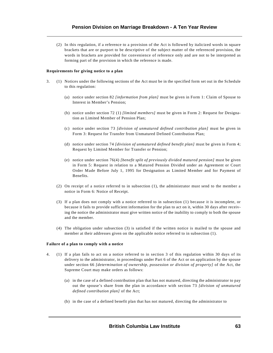(2) In this regulation, if a reference to a provision of the Act is followed by italicized words in square brackets that are or purport to be descriptive of the subject matter of the referenced provision, the words in brackets are provided for convenience of reference only and are not to be interpreted as forming part of the provision in which the reference is made.

#### **Requirements for giving notice to a plan**

- 3. (1) Notices under the following sections of the Act must be in the specified form set out in the Schedule to this regulation:
	- (a) notice under section 82 *[information from plan]* must be given in Form 1: Claim of Spouse to Interest in Member's Pension;
	- (b) notice under section 72 (1) *[limited members]* must be given in Form 2: Request for Designation as Limited Member of Pension Plan;
	- (c) notice under section 73 *[division of unmatured defined contribution plan]* must be given in Form 3: Request for Transfer from Unmatured Defined Contribution Plan;
	- (d) notice under section 74 *[division of unmatured defined benefit plan]* must be given in Form 4; Request by Limited Member for Transfer or Pension;
	- (e) notice under section 76(4) *[benefit split of previously divided matured pension]* must be given in Form 5: Request in relation to a Matured Pension Divided under an Agreement or Court Order Made Before July 1, 1995 for Designation as Limited Member and for Payment of Benefits.
	- (2) On receipt of a notice referred to in subsection (1), the administrator must send to the member a notice in Form 6: Notice of Receipt.
	- (3) If a plan does not comply with a notice referred to in subsection (1) because it is incomplete, or because it fails to provide sufficient information for the plan to act on it, within 30 days after receiving the notice the administrator must give written notice of the inability to comply to both the spouse and the member.
	- (4) The obligation under subsection (3) is satisfied if the written notice is mailed to the spouse and member at their addresses given on the applicable notice referred to in subsection (1).

#### **Failure of a plan to comply with a notice**

- 4. (1) If a plan fails to act on a notice referred to in section 3 of this regulation within 30 days of its delivery to the administrator, in proceedings under Part 6 of the Act or on application by the spouse under section 66 *[determination of ownership, possession or division of property]* of the Act, the Supreme Court may make orders as follows:
	- (a) in the case of a defined contribution plan that has not matured, directing the administrator to pay out the spouse's share from the plan in accordance with section 73 *[division of unmatured defined contribution plan]* of the Act;
	- (b) in the case of a defined benefit plan that has not matured, directing the administrator to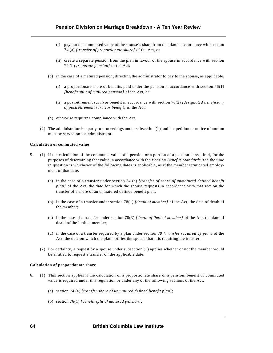- (i) pay out the commuted value of the spouse's share from the plan in accordance with section 74 (a) *[transfer of proportionate share]* of the Act, or
- (ii) create a separate pension from the plan in favour of the spouse in accordance with section 74 (b) *[separate pension]* of the Act;
- (c) in the case of a matured pension, directing the administrator to pay to the spouse, as applicable,
	- (i) a proportionate share of benefits paid under the pension in accordance with section  $76(1)$ *[benefit split of matured pension]* of the Act, or
	- (ii) a postretirement survivor benefit in accordance with section 76(2) *[designated beneficiary of postretirement survivor benefit]* of the Act;
- (d) otherwise requiring compliance with the Act.
- (2) The administrator is a party to proceedings under subsection (1) and the petition or notice of motion must be served on the administrator.

#### **Calculation of commuted value**

- 5. (1) If the calculation of the commuted value of a pension or a portion of a pension is required, for the purposes of determining that value in accordance with the *Pension Benefits Standards Act*, the time in question is whichever of the following dates is applicable, as if the member terminated employment of that date:
	- (a) in the case of a transfer under section 74 (a) *[transfer of share of unmatured defined benefit plan]* of the Act, the date for which the spouse requests in accordance with that section the transfer of a share of an unmatured defined benefit plan;
	- (b) in the case of a transfer under section 78(1) *[death of member]* of the Act, the date of death of the member;
	- (c) in the case of a transfer under section 78(3) *[death of limited member]* of the Act, the date of death of the limited member;
	- (d) in the case of a transfer required by a plan under section 79 *[transfer required by plan]* of the Act, the date on which the plan notifies the spouse that it is requiring the transfer.
	- (2) For certainty, a request by a spouse under subsection (1) applies whether or not the member would be entitled to request a transfer on the applicable date.

#### **Calculation of proportionate share**

- 6. (1) This section applies if the calculation of a proportionate share of a pension, benefit or commuted value is required under this regulation or under any of the following sections of the Act:
	- (a) section 74 (a) *[transfer share of unmatured defined benefit plan]*;
	- (b) section 76(1) *[benefit split of matured pension]*;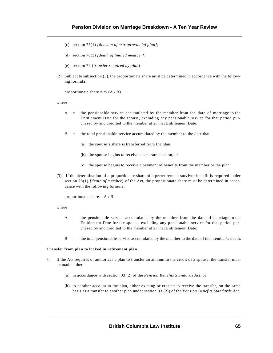- (c) section 77(1) *[division of extraprovincial plan]*;
- (d) section 78(3) *[death of limited member]*;
- (e) section 79 *[transfer required by plan]*.
- (2) Subject to subsection (3), the proportionate share must be determined in accordance with the following formula:

proportionate share  $= \frac{1}{2} (A / B)$ 

where

- A = the pensionable service accumulated by the member from the date of marriage to the Entitlement Date for the spouse, excluding any pensionable service for that period purchased by and credited to the member after that Entitlement Date;
- $B =$  the total pensionable service accumulated by the member to the date that
	- (a) the spouse's share is transferred from the plan,
	- (b) the spouse begins to receive a separate pension, or
	- (c) the spouse begins to receive a payment of benefits from the member or the plan.
- (3) If the determination of a proportionate share of a preretirement survivor benefit is required under section 78(1) *[death of member]* of the Act, the proportionate share must be determined in accordance with the following formula:

proportionate share  $=$  A  $/$  B

#### where

- A = the pensionable service accumulated by the member from the date of marriage to the Entitlement Date for the spouse, excluding any pensionable service for that period purchased by and credited to the member after that Entitlement Date;
- B = the total pensionable service accumulated by the member to the date of the member's death.

#### **Transfer from plan to locked in retirement plan**

- 7. If the Act requires or authorizes a plan to transfer an amount to the credit of a spouse, the transfer must be made either
	- (a) in accordance with section 33 (2) of the *Pension Benefits Standards Act*, or
	- (b) to another account in the plan, either existing or created to receive the transfer, on the same basis as a transfer to another plan under section 33 (2)) of the *Pension Benefits Standards Act*.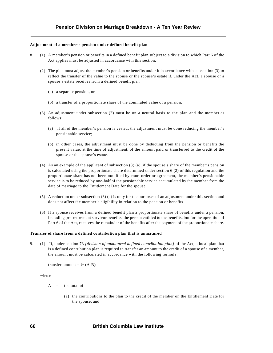#### **Adjustment of a member's pension under defined benefit plan**

- 8. (1) A member's pension or benefits in a defined benefit plan subject to a division to which Part 6 of the Act applies must be adjusted in accordance with this section.
	- (2) The plan must adjust the member's pension or benefits under it in accordance with subsection (3) to reflect the transfer of the value to the spouse or the spouse's estate if, under the Act, a spouse or a spouse's estate receives from a defined benefit plan
		- (a) a separate pension, or
		- (b) a transfer of a proportionate share of the commuted value of a pension.
	- (3) An adjustment under subsection (2) must be on a neutral basis to the plan and the member as follows:
		- (a) if all of the member's pension is vested, the adjustment must be done reducing the member's pensionable service;
		- (b) in other cases, the adjustment must be done by deducting from the pension or benefits the present value, at the time of adjustment, of the amount paid or transferred to the credit of the spouse or the spouse's estate.
	- (4) As an example of the applicant of subsection (3) (a), if the spouse's share of the member's pension is calculated using the proportionate share determined under section 6 (2) of this regulation and the proportionate share has not been modified by court order or agreement, the member's pensionable service is to be reduced by one-half of the pensionable service accumulated by the member from the date of marriage to the Entitlement Date for the spouse.
	- (5) A reduction under subsection (3) (a) is only for the purposes of an adjustment under this section and does not affect the member's eligibility in relation to the pension or benefits.
	- (6) If a spouse receives from a defined benefit plan a proportionate share of benefits under a pension, including pre-retirement survivor benefits, the person entitled to the benefits, but for the operation of Part 6 of the Act, receives the remainder of the benefits after the payment of the proportionate share.

#### **Transfer of share from a defined contribution plan that is unmatured**

9. (1) If, under section 73 *[division of unmatured defined contribution plan]* of the Act, a local plan that is a defined contribution plan is required to transfer an amount to the credit of a spouse of a member, the amount must be calculated in accordance with the following formula:

transfer amount =  $\frac{1}{2}$  (A-B)

where

- $A =$  the total of
	- (a) the contributions to the plan to the credit of the member on the Entitlement Date for the spouse, and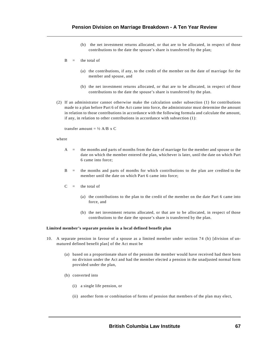- (b) the net investment returns allocated, or that are to be allocated, in respect of those contributions to the date the spouse's share is transferred by the plan;
- $B =$  the total of
	- (a) the contributions, if any, to the credit of the member on the date of marriage for the member and spouse, and
	- (b) the net investment returns allocated, or that are to be allocated, in respect of those contributions to the date the spouse's share is transferred by the plan.
- (2) If an administrator cannot otherwise make the calculation under subsection (1) for contributions made to a plan before Part 6 of the Act came into force, the administrator must determine the amount in relation to those contributions in accordance with the following formula and calculate the amount, if any, in relation to other contributions in accordance with subsection (1):

transfer amount =  $\frac{1}{2}$  A/B x C

#### where

- A = the months and parts of months from the date of marriage for the member and spouse or the date on which the member entered the plan, whichever is later, until the date on which Part 6 came into force;
- B = the months and parts of months for which contributions to the plan are credited to the member until the date on which Part 6 came into force;
- $C =$  the total of
	- (a) the contributions to the plan to the credit of the member on the date Part 6 came into force, and
	- (b) the net investment returns allocated, or that are to be allocated, in respect of those contributions to the date the spouse's share is transferred by the plan.

#### **Limited member's separate pension in a local defined benefit plan**

- 10. A separate pension in favour of a spouse as a limited member under section 74 (b) [division of unmatured defined benefit plan] of the Act must be
	- (a) based on a proportionate share of the pension the member would have received had there been no division under the Act and had the member elected a pension in the unadjusted normal form provided under the plan,
	- (b) converted into
		- (i) a single life pension, or
		- (ii) another form or combination of forms of pension that members of the plan may elect,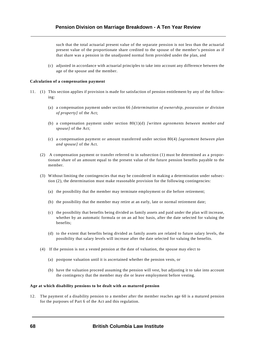such that the total actuarial present value of the separate pension is not less than the actuarial present value of the proportionate share credited to the spouse of the member's pension as if that share was a pension in the unadjusted normal form provided under the plan, and

(c) adjusted in accordance with actuarial principles to take into account any difference between the age of the spouse and the member.

#### **Calculation of a compensation payment**

- 11. (1) This section applies if provision is made for satisfaction of pension entitlement by any of the following:
	- (a) a compensation payment under section 66 *[determination of ownership, possession or division of property]* of the Act;
	- (b) a compensation payment under section 80(1)(d) *[written agreements between member and spouse]* of the Act;
	- (c) a compensation payment or amount transferred under section 80(4) *[agreement between plan and spouse]* of the Act.
	- (2) A compensation payment or transfer referred to in subsection (1) must be determined as a proportionate share of an amount equal to the present value of the future pension benefits payable to the member.
	- (3) Without limiting the contingencies that may be considered in making a determination under subsection (2), the determination must make reasonable provision for the following contingencies:
		- (a) the possibility that the member may terminate employment or die before retirement;
		- (b) the possibility that the member may retire at an early, late or normal retirement date;
		- (c) the possibility that benefits being divided as family assets and paid under the plan will increase, whether by an automatic formula or on an ad hoc basis, after the date selected for valuing the benefits;
		- (d) to the extent that benefits being divided as family assets are related to future salary levels, the possibility that salary levels will increase after the date selected for valuing the benefits.
	- (4) If the pension is not a vested pension at the date of valuation, the spouse may elect to
		- (a) postpone valuation until it is ascertained whether the pension vests, or
		- (b) have the valuation proceed assuming the pension will vest, but adjusting it to take into account the contingency that the member may die or leave employment before vesting.

#### **Age at which disability pensions to be dealt with as matured pension**

12. The payment of a disability pension to a member after the member reaches age 60 is a matured pension for the purposes of Part 6 of the Act and this regulation.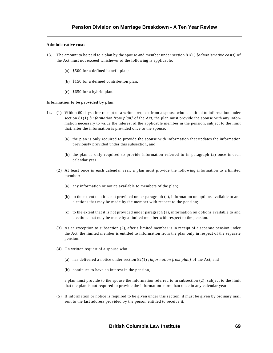#### **Administrative costs**

- 13. The amount to be paid to a plan by the spouse and member under section 81(1) *[administrative costs]* of the Act must not exceed whichever of the following is applicable:
	- (a) \$500 for a defined benefit plan;
	- (b) \$150 for a defined contribution plan;
	- (c) \$650 for a hybrid plan.

#### **Information to be provided by plan**

- 14. (1) Within 60 days after receipt of a written request from a spouse who is entitled to information under section 81(1) *[information from plan]* of the Act, the plan must provide the spouse with any information necessary to value the interest of the applicable member in the pension, subject to the limit that, after the information is provided once to the spouse,
	- (a) the plan is only required to provide the spouse with information that updates the information previously provided under this subsection, and
	- (b) the plan is only required to provide information referred to in paragraph (a) once in each calendar year.
	- (2) At least once in each calendar year, a plan must provide the following information to a limited member:
		- (a) any information or notice available to members of the plan;
		- (b) to the extent that it is not provided under paragraph (a), information on options available to and elections that may be made by the member with respect to the pension;
		- (c) to the extent that it is not provided under paragraph (a), information on options available to and elections that may be made by a limited member with respect to the pension.
	- (3) As an exception to subsection (2), after a limited member is in receipt of a separate pension under the Act, the limited member is entitled to information from the plan only in respect of the separate pension.
	- (4) On written request of a spouse who
		- (a) has delivered a notice under section 82(1) *[information from plan]* of the Act, and
		- (b) continues to have an interest in the pension,

a plan must provide to the spouse the information referred to in subsection (2), subject to the limit that the plan is not required to provide the information more than once in any calendar year.

(5) If information or notice is required to be given under this section, it must be given by ordinary mail sent to the last address provided by the person entitled to receive it.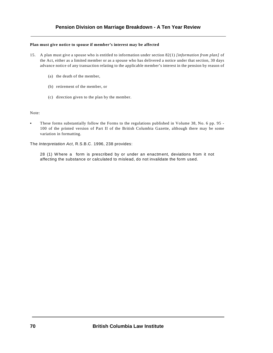#### **Plan must give notice to spouse if member's interest may be affected**

- 15. A plan must give a spouse who is entitled to information under section 82(1) *[information from plan]* of the Act, either as a limited member or as a spouse who has delivered a notice under that section, 30 days advance notice of any transaction relating to the applicable member's interest in the pension by reason of
	- (a) the death of the member,
	- (b) retirement of the member, or
	- (c) direction given to the plan by the member.

#### Note:

These forms substantially follow the Forms to the regulations published in Volume 38, No. 6 pp. 95 -100 of the printed version of Part II of the British Columbia Gazette, although there may be some variation in formatting.

The *Interpretation Act*, R.S.B.C. 1996, 238 provides:

28 (1) W here a form is prescribed by or under an enactment, deviations from it not affecting the substance or calculated to mislead, do not invalidate the form used.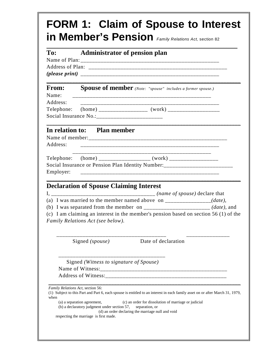| To:            | <b>Administrator of pension plan</b>                                                                                                                                                                                                                                                               |
|----------------|----------------------------------------------------------------------------------------------------------------------------------------------------------------------------------------------------------------------------------------------------------------------------------------------------|
| From:<br>Name: | <b>Spouse of member</b> (Note: "spouse" includes a former spouse.)                                                                                                                                                                                                                                 |
| Address:       |                                                                                                                                                                                                                                                                                                    |
| Address:       | In relation to: Plan member                                                                                                                                                                                                                                                                        |
|                | Social Insurance or Pension Plan Identity Number:_______________________________                                                                                                                                                                                                                   |
|                | <b>Declaration of Spouse Claiming Interest</b>                                                                                                                                                                                                                                                     |
|                | (a) I was married to the member named above on $\frac{1}{1}$ = $\frac{1}{1}$ (date),<br>(b) I was separated from the member on _________________________ (date), and<br>(c) I am claiming an interest in the member's pension based on section $56(1)$ of the<br>Family Relations Act (see below). |
|                | Date of declaration<br>Signed (spouse)                                                                                                                                                                                                                                                             |
|                | Signed (Witness to signature of Spouse)                                                                                                                                                                                                                                                            |
|                | Family Relations Act, section 56:<br>(1) Subject to this Part and Part 6, each spouse is entitled to an interest in each family asset on or after March 31, 1979,                                                                                                                                  |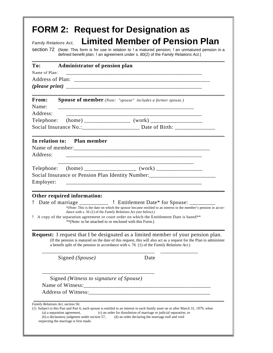| Limited Member of Pension Plan<br><b>Family Relations Act,</b><br>section 72 (Note: This form is for use in relation to ! a matured pension; ! an unmatured pension in a<br>defined benefit plan; ! an agreement under s. 80(2) of the Family Relations Act.) |                                                                                                                           |                                                                                                                                                                                                                                                                                                             |
|---------------------------------------------------------------------------------------------------------------------------------------------------------------------------------------------------------------------------------------------------------------|---------------------------------------------------------------------------------------------------------------------------|-------------------------------------------------------------------------------------------------------------------------------------------------------------------------------------------------------------------------------------------------------------------------------------------------------------|
| To:<br>Name of Plan:                                                                                                                                                                                                                                          | Administrator of pension plan                                                                                             |                                                                                                                                                                                                                                                                                                             |
|                                                                                                                                                                                                                                                               |                                                                                                                           |                                                                                                                                                                                                                                                                                                             |
| From:<br>Name:<br>Address:                                                                                                                                                                                                                                    | <b>Spouse of member</b> (Note: "spouse" includes a former spouse.)                                                        |                                                                                                                                                                                                                                                                                                             |
| Telephone:                                                                                                                                                                                                                                                    |                                                                                                                           | ___________________                                                                                                                                                                                                                                                                                         |
|                                                                                                                                                                                                                                                               |                                                                                                                           | Social Insurance No.:______________________ Date of Birth: _____________________                                                                                                                                                                                                                            |
| Employer:                                                                                                                                                                                                                                                     | Other required information:                                                                                               | Telephone: (home) _____________________ (work) __________________________________<br>Social Insurance or Pension Plan Identity Number:_______________________________                                                                                                                                       |
|                                                                                                                                                                                                                                                               | dance with s. 56 (1) of the Family Relations Act (see below).)<br>**(Note: to be attached to or enclosed with this Form.) | Date of marriage ________________ ! Entitlement Date* for Spouse: __________<br>*(Note: This is the date on which the spouse became entitled to an interest in the member's pension in accor-<br>! A copy of the separation agreement or court order on which the Entitlement Date is based**               |
|                                                                                                                                                                                                                                                               |                                                                                                                           | <b>Request:</b> I request that I be designated as a limited member of your pension plan.<br>(If the pension is matured on the date of this request, this will also act as a request for the Plan to administer<br>a benefit split of the pension in accordance with s. 76 (1) of the Family Relations Act.) |
|                                                                                                                                                                                                                                                               | Signed (Spouse)                                                                                                           | Date                                                                                                                                                                                                                                                                                                        |
|                                                                                                                                                                                                                                                               | Signed (Witness to signature of Spouse)                                                                                   |                                                                                                                                                                                                                                                                                                             |
|                                                                                                                                                                                                                                                               |                                                                                                                           |                                                                                                                                                                                                                                                                                                             |
| Family Relations Act, section 56:                                                                                                                                                                                                                             | (a) a separation agreement,<br>(b) a declaratory judgment under section 57,<br>respecting the marriage is first made.     | (1) Subject to this Part and Part 6, each spouse is entitled to an interest in each family asset on or after March 31, 1979, when<br>(c) an order for dissolution of marriage or judicial separation, or<br>(d) an order declaring the marriage null and void                                               |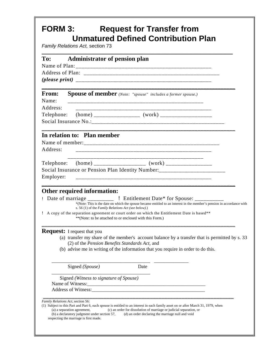## **FORM 3: Request for Transfer from Unmatured Defined Contribution Plan**

*Family Relations Act,* section 73

| To:                               | <b>Administrator of pension plan</b>                                                                                                                                                                                                                                                                                                                                                                                                                  |
|-----------------------------------|-------------------------------------------------------------------------------------------------------------------------------------------------------------------------------------------------------------------------------------------------------------------------------------------------------------------------------------------------------------------------------------------------------------------------------------------------------|
|                                   |                                                                                                                                                                                                                                                                                                                                                                                                                                                       |
|                                   |                                                                                                                                                                                                                                                                                                                                                                                                                                                       |
|                                   |                                                                                                                                                                                                                                                                                                                                                                                                                                                       |
| <b>From:</b><br>Name:<br>Address: | <b>Spouse of member</b> (Note: "spouse" includes a former spouse.)                                                                                                                                                                                                                                                                                                                                                                                    |
|                                   |                                                                                                                                                                                                                                                                                                                                                                                                                                                       |
| Address:                          | In relation to: Plan member                                                                                                                                                                                                                                                                                                                                                                                                                           |
|                                   |                                                                                                                                                                                                                                                                                                                                                                                                                                                       |
| Employer:                         | Social Insurance or Pension Plan Identity Number: ______________________________<br>_________________________                                                                                                                                                                                                                                                                                                                                         |
|                                   | Other required information:<br>Date of marriage _____________ ! Entitlement Date* for Spouse: ___________<br>*(Note: This is the date on which the spouse became entitled to an interest in the member's pension in accordance with<br>s. 56 (1) of the Family Relations Act (see below).)<br>! A copy of the separation agreement or court order on which the Entitlement Date is based**<br>**(Note: to be attached to or enclosed with this Form.) |
|                                   | <b>Request:</b> I request that you<br>(a) transfer my share of the member's account balance by a transfer that is permitted by s. 33<br>(2) of the Pension Benefits Standards Act, and<br>(b) advise me in writing of the information that you require in order to do this.                                                                                                                                                                           |
|                                   | Signed (Spouse)<br>Date                                                                                                                                                                                                                                                                                                                                                                                                                               |
|                                   | Signed (Witness to signature of Spouse)<br>Name of Witness:                                                                                                                                                                                                                                                                                                                                                                                           |
|                                   | Family Relations Act, section 56:<br>(1) Subject to this Part and Part 6, each spouse is entitled to an interest in each family asset on or after March 31, 1979, when<br>(a) a separation agreement,<br>(c) an order for dissolution of marriage or judicial separation, or<br>(b) a declaratory judgment under section 57,<br>(d) an order declaring the marriage null and void<br>respecting the marriage is first made.                           |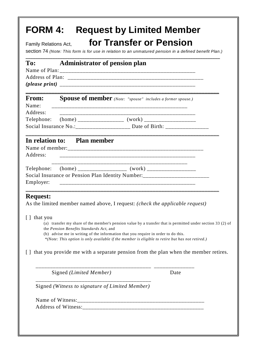| Family Relations Act,             |                                         | for Transfer or Pension<br>section 74 (Note: This form is for use in relation to an unmatured pension in a defined benefit Plan.)                                                                |
|-----------------------------------|-----------------------------------------|--------------------------------------------------------------------------------------------------------------------------------------------------------------------------------------------------|
| To:                               |                                         | <b>Administrator of pension plan</b>                                                                                                                                                             |
| <b>From:</b><br>Name:<br>Address: |                                         | <b>Spouse of member</b> (Note: "spouse" includes a former spouse.)                                                                                                                               |
| Telephone:                        |                                         |                                                                                                                                                                                                  |
|                                   |                                         | Social Insurance No.: ____________________ Date of Birth: ______________________                                                                                                                 |
| Employer:                         |                                         | Social Insurance or Pension Plan Identity Number: ______________________________                                                                                                                 |
| <b>Request:</b>                   |                                         | As the limited member named above, I request: (check the applicable request)                                                                                                                     |
| [ ] that you                      | the Pension Benefits Standards Act, and | (a) transfer my share of the member's pension value by a transfer that is permitted under section 33 (2) of<br>(b) advise me in writing of the information that you require in order to do this. |
|                                   |                                         | *(Note: This option is only available if the member is eligible to retire but has not retired.)                                                                                                  |
|                                   |                                         |                                                                                                                                                                                                  |
|                                   | Signed (Limited Member)                 | Date                                                                                                                                                                                             |
|                                   |                                         | Signed (Witness to signature of Limited Member)                                                                                                                                                  |
|                                   |                                         | [] that you provide me with a separate pension from the plan when the member retires.                                                                                                            |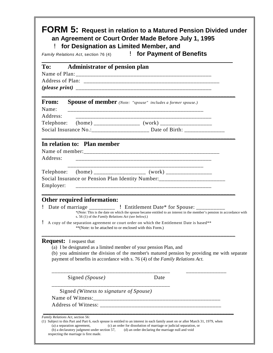| To:<br><b>Administrator of pension plan</b>                                                         |                                                                                                                                                                                |
|-----------------------------------------------------------------------------------------------------|--------------------------------------------------------------------------------------------------------------------------------------------------------------------------------|
|                                                                                                     |                                                                                                                                                                                |
|                                                                                                     |                                                                                                                                                                                |
| <b>From:</b><br>Name:<br>Address:                                                                   | <b>Spouse of member</b> (Note: "spouse" includes a former spouse.)                                                                                                             |
|                                                                                                     |                                                                                                                                                                                |
|                                                                                                     | Social Insurance No.: _______________________ Date of Birth: ___________________                                                                                               |
| In relation to: Plan member<br>Address:                                                             | <u> 1999 - Jan Jan James, Amerikaansk politiker (d. 1989)</u>                                                                                                                  |
| Employer:                                                                                           | Social Insurance or Pension Plan Identity Number: ______________________________                                                                                               |
| Other required information:<br>s. 56 (1) of the Family Relations Act (see below).)                  | *(Note: This is the date on which the spouse became entitled to an interest in the member's pension in accordance with                                                         |
| ï                                                                                                   | A copy of the separation agreement or court order on which the Entitlement Date is based**<br>**(Note: to be attached to or enclosed with this Form.)                          |
| <b>Request:</b> I request that<br>(a) I be designated as a limited member of your pension Plan, and | (b) you administer the division of the member's matured pension by providing me with separate<br>payment of benefits in accordance with s. 76 (4) of the Family Relations Act. |
| Signed (Spouse)                                                                                     | Date                                                                                                                                                                           |
| Signed (Witness to signature of Spouse)                                                             |                                                                                                                                                                                |
|                                                                                                     |                                                                                                                                                                                |
|                                                                                                     |                                                                                                                                                                                |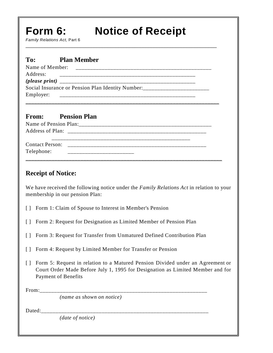# **Form 6: Notice of Receipt**

*Family Relations Act,* Part 6

| To:             | <b>Plan Member</b>                                                               |
|-----------------|----------------------------------------------------------------------------------|
| Name of Member: |                                                                                  |
| Address:        |                                                                                  |
|                 |                                                                                  |
|                 | Social Insurance or Pension Plan Identity Number: ______________________________ |
| Employer:       |                                                                                  |
|                 |                                                                                  |

\_\_\_\_\_\_\_\_\_\_\_\_\_\_\_\_\_\_\_\_\_\_\_\_\_\_\_\_\_\_\_\_\_\_\_\_\_\_\_\_\_\_\_\_\_\_\_\_\_\_\_\_\_\_\_\_\_\_\_\_\_\_\_\_\_\_\_\_\_\_

## **From: Pension Plan**

| <b>Contact Person:</b><br>Telephone: |  |  |
|--------------------------------------|--|--|

## **Receipt of Notice:**

We have received the following notice under the *Family Relations Act* in relation to your membership in our pension Plan:

- [ ] Form 1: Claim of Spouse to Interest in Member's Pension
- [ ] Form 2: Request for Designation as Limited Member of Pension Plan
- [ ] Form 3: Request for Transfer from Unmatured Defined Contribution Plan
- [ ] Form 4: Request by Limited Member for Transfer or Pension
- [ ] Form 5: Request in relation to a Matured Pension Divided under an Agreement or Court Order Made Before July 1, 1995 for Designation as Limited Member and for Payment of Benefits

From:

*(name as shown on notice)*

Dated:

*(date of notice)*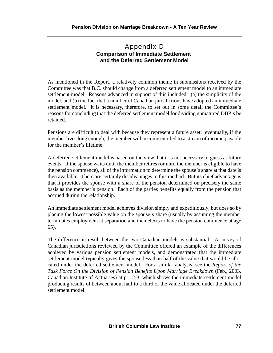## Appendix D **Comparison of Immediate Settlement and the Deferred Settlement Model**

\_\_\_\_\_\_\_\_\_\_\_\_\_\_\_\_\_\_\_\_\_\_\_\_\_\_\_\_\_\_\_\_\_\_\_\_\_\_\_\_\_\_\_\_\_\_\_\_\_\_\_\_\_\_

As mentioned in the Report, a relatively common theme in submissions received by the Committee was that B.C. should change from a deferred settlement model to an immediate settlement model. Reasons advanced in support of this included: (a) the simplicity of the model, and (b) the fact that a number of Canadian jurisdictions have adopted an immediate settlement model. It is necessary, therefore, to set out in some detail the Committee's reasons for concluding that the deferred settlement model for dividing unmatured DBP's be retained.

Pensions are difficult to deal with because they represent a future asset: eventually, if the member lives long enough, the member will become entitled to a stream of income payable for the member's lifetime.

A deferred settlement model is based on the view that it is not necessary to guess at future events. If the spouse waits until the member retires (or until the member is eligible to have the pension commence), all of the information to determine the spouse'sshare at that date is then available. There are certainly disadvantages to this method. But its chief advantage is that it provides the spouse with a share of the pension determined on precisely the same basis as the member's pension. Each of the parties benefits equally from the pension that accrued during the relationship.

An immediate settlement model achieves division simply and expeditiously, but does so by placing the lowest possible value on the spouse's share (usually by assuming the member terminates employment at separation and then elects to have the pension commence at age 65).

The difference in result between the two Canadian models is substantial. A survey of Canadian jurisdictions reviewed by the Committee offered an example of the differences achieved by various pension settlement models, and demonstrated that the immediate settlement model typically gives the spouse less than half of the value that would be allocated under the deferred settlement model. For a similar analysis, see the *Report of the Task Force On the Division of Pension Benefits Upon Marriage Breakdown* (Feb., 2003, Canadian Institute of Actuaries) at p. 12-3, which shows the immediate settlement model producing results of between about half to a third of the value allocated under the deferred settlement model.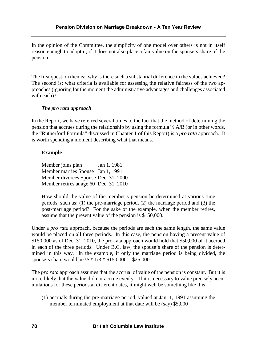In the opinion of the Committee, the simplicity of one model over others is not in itself reason enough to adopt it, if it does not also place a fair value on the spouse's share of the pension.

The first question then is: why is there such a substantial difference in the values achieved? The second is: what criteria is available for assessing the relative fairness of the two approaches (ignoring for the moment the administrative advantages and challenges associated with each)?

## *The pro rata approach*

In the Report, we have referred several times to the fact that the method of determining the pension that accrues during the relationship by using the formula ½ A/B (or in other words, the "Rutherford Formula" discussed in Chapter 1 of this Report) is a *pro rata* approach. It is worth spending a moment describing what that means.

## **Example**

| Member joins plan                      | Jan 1, 1981 |
|----------------------------------------|-------------|
| Member marries Spouse Jan 1, 1991      |             |
| Member divorces Spouse Dec. 31, 2000   |             |
| Member retires at age 60 Dec. 31, 2010 |             |

How should the value of the member's pension be determined at various time periods, such as: (1) the pre-marriage period, (2) the marriage period and (3) the post-marriage period? For the sake of the example, when the member retires, assume that the present value of the pension is \$150,000.

Under a *pro rata* approach, because the periods are each the same length, the same value would be placed on all three periods. In this case, the pension having a present value of \$150,000 as of Dec. 31, 2010, the pro-rata approach would hold that \$50,000 of it accrued in each of the three periods. Under B.C. law, the spouse's share of the pension is determined in this way. In the example, if only the marriage period is being divided, the spouse's share would be  $\frac{1}{2}$  \*  $\frac{1}{3}$  \* \$150,000 = \$25,000.

The *pro rata* approach assumes that the accrual of value of the pension is constant. But it is more likely that the value did not accrue evenly. If it is necessary to value precisely accumulations for these periods at different dates, it might well be something like this:

(1) accruals during the pre-marriage period, valued at Jan. 1, 1991 assuming the member terminated employment at that date will be (say) \$5,000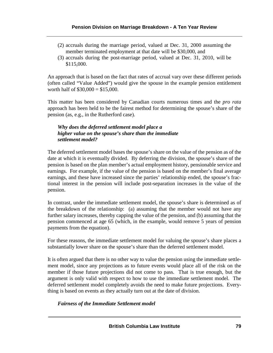- (2) accruals during the marriage period, valued at Dec. 31, 2000 assuming the member terminated employment at that date will be \$30,000, and
- (3) accruals during the post-marriage period, valued at Dec. 31, 2010, will be \$115,000.

An approach that is based on the fact that rates of accrual vary over these different periods (often called "Value Added") would give the spouse in the example pension entitlement worth half of  $$30,000 = $15,000$ .

This matter has been considered by Canadian courts numerous times and the *pro rata* approach has been held to be the fairest method for determining the spouse's share of the pension (as, e.g., in the Rutherford case).

### *Why does the deferred settlement model place a higher value on the spouse's share than the immediate settlement model?*

The deferred settlement model bases the spouse's share on the value of the pension as of the date at which it is eventually divided. By deferring the division, the spouse's share of the pension is based on the plan member's actual employment history, pensionable service and earnings. For example, if the value of the pension is based on the member's final average earnings, and these have increased since the parties' relationship ended, the spouse's fractional interest in the pension will include post-separation increases in the value of the pension.

In contrast, under the immediate settlement model, the spouse's share is determined as of the breakdown of the relationship: (a) assuming that the member would not have any further salary increases, thereby capping the value of the pension, and (b) assuming that the pension commenced at age 65 (which, in the example, would remove 5 years of pension payments from the equation).

For these reasons, the immediate settlement model for valuing the spouse's share places a substantially lower share on the spouse's share than the deferred settlement model.

It is often argued that there is no other way to value the pension using the immediate settlement model, since any projections as to future events would place all of the risk on the member if those future projections did not come to pass. That is true enough, but the argument is only valid with respect to how to use the immediate settlement model. The deferred settlement model completely avoids the need to make future projections. Everything is based on events as they actually turn out at the date of division.

### *Fairness of the Immediate Settlement model*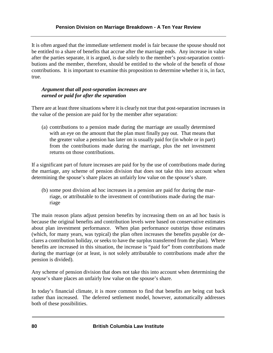It is often argued that the immediate settlement model is fair because the spouse should not be entitled to a share of benefits that accrue after the marriage ends. Any increase in value after the parties separate, it is argued, is due solely to the member's post-separation contributions and the member, therefore, should be entitled to the whole of the benefit of those contributions. It is important to examine this proposition to determine whether it is, in fact, true.

## *Argument that all post-separation increases are earned or paid for after the separation*

There are at least three situations where it is clearly not true that post-separation increases in the value of the pension are paid for by the member after separation:

(a) contributions to a pension made during the marriage are usually determined with an eye on the amount that the plan must finally pay out. That means that the greater value a pension has later on is usually paid for (in whole or in part) from the contributions made during the marriage, plus the net investment returns on those contributions.

If a significant part of future increases are paid for by the use of contributions made during the marriage, any scheme of pension division that does not take this into account when determining the spouse's share places an unfairly low value on the spouse's share.

(b) some post division ad hoc increases in a pension are paid for during the marriage, or attributable to the investment of contributions made during the marriage

The main reason plans adjust pension benefits by increasing them on an ad hoc basis is because the original benefits and contribution levels were based on conservative estimates about plan investment performance. When plan performance outstrips those estimates (which, for many years, was typical) the plan often increases the benefits payable (or declares a contribution holiday, or seeks to have the surplus transferred from the plan). Where benefits are increased in this situation, the increase is "paid for" from contributions made during the marriage (or at least, is not solely attributable to contributions made after the pension is divided).

Any scheme of pension division that does not take this into account when determining the spouse's share places an unfairly low value on the spouse's share.

In today's financial climate, it is more common to find that benefits are being cut back rather than increased. The deferred settlement model, however, automatically addresses both of these possibilities.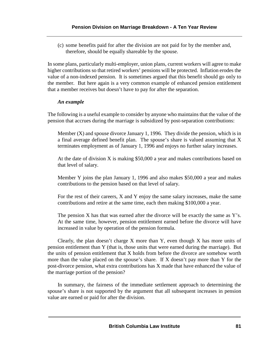(c) some benefits paid for after the division are not paid for by the member and, therefore, should be equally shareable by the spouse.

In some plans, particularly multi-employer, union plans, current workers will agree to make higher contributions so that retired workers' pensions will be protected. Inflation erodes the value of a non-indexed pension. It is sometimes argued that this benefit should go only to the member. But here again is a very common example of enhanced pension entitlement that a member receives but doesn't have to pay for after the separation.

### *An example*

The following is a useful example to consider by anyone who maintains that the value of the pension that accrues during the marriage is subsidized by post-separation contributions:

Member  $(X)$  and spouse divorce January 1, 1996. They divide the pension, which is in a final average defined benefit plan. The spouse's share is valued assuming that X terminates employment as of January 1, 1996 and enjoys no further salary increases.

At the date of division X is making \$50,000 a year and makes contributions based on that level of salary.

Member Y joins the plan January 1, 1996 and also makes \$50,000 a year and makes contributions to the pension based on that level of salary.

For the rest of their careers, X and Y enjoy the same salary increases, make the same contributions and retire at the same time, each then making \$100,000 a year.

The pension  $X$  has that was earned after the divorce will be exactly the same as  $Y$ 's. At the same time, however, pension entitlement earned before the divorce will have increased in value by operation of the pension formula.

Clearly, the plan doesn't charge X more than Y, even though X has more units of pension entitlement than Y (that is, those units that were earned during the marriage). But the units of pension entitlement that X holds from before the divorce are somehow worth more than the value placed on the spouse's share. If X doesn't pay more than Y for the post-divorce pension, what extra contributions has X made that have enhanced the value of the marriage portion of the pension?

In summary, the fairness of the immediate settlement approach to determining the spouse's share is not supported by the argument that all subsequent increases in pension value are earned or paid for after the division.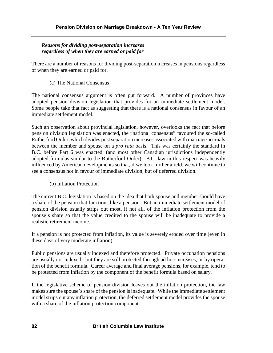## *Reasons for dividing post-separation increases regardless of when they are earned or paid for*

There are a number of reasons for dividing post-separation increases in pensions regardless of when they are earned or paid for.

(a) The National Consensus

The national consensus argument is often put forward. A number of provinces have adopted pension division legislation that provides for an immediate settlement model. Some people take that fact as suggesting that there is a national consensus in favour of an immediate settlement model.

Such an observation about provincial legislation, however, overlooks the fact that before pension division legislation was enacted, the "national consensus" favoured the so-called Rutherford Order, which divides post separation increases associated with marriage accruals between the member and spouse on a *pro rata* basis. This was certainly the standard in B.C. before Part 6 was enacted, (and most other Canadian jurisdictions independently adopted formulas similar to the Rutherford Order). B.C. law in this respect was heavily influenced by American developments so that, if we look further afield, we will continue to see a consensus not in favour of immediate division, but of deferred division.

(b) Inflation Protection

The current B.C. legislation is based on the idea that both spouse and member should have a share of the pension that functions like a pension. But an immediate settlement model of pension division usually strips out most, if not all, of the inflation protection from the spouse's share so that the value credited to the spouse will be inadequate to provide a realistic retirement income.

If a pension is not protected from inflation, its value is severely eroded over time (even in these days of very moderate inflation).

Public pensions are usually indexed and therefore protected. Private occupation pensions are usually not indexed: but they are still protected through ad hoc increases, or by operation of the benefit formula. Career average and final average pensions, for example, tend to be protected from inflation by the component of the benefit formula based on salary.

If the legislative scheme of pension division leaves out the inflation protection, the law makes sure the spouse's share of the pension is inadequate. While the immediate settlement model strips out any inflation protection, the deferred settlement model provides the spouse with a share of the inflation protection component.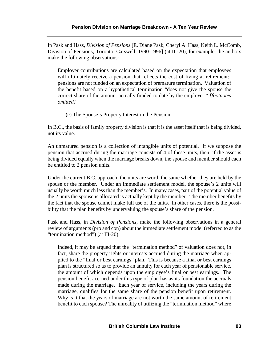In Pask and Hass, *Division of Pensions* [E. Diane Pask, Cheryl A. Hass, Keith L. McComb, Division of Pensions, Toronto: Carswell, 1990-1996] (at III-20), for example, the authors make the following observations:

Employer contributions are calculated based on the expectation that employees will ultimately receive a pension that reflects the cost of living at retirement: pensions are not funded on an expectation of premature termination. Valuation of the benefit based on a hypothetical termination "does not give the spouse the correct share of the amount actually funded to date by the employer." *[footnotes omitted]*

(c) The Spouse's Property Interest in the Pension

In B.C., the basis of family property division is that it is the asset itself that is being divided, not its value.

An unmatured pension is a collection of intangible units of potential. If we suppose the pension that accrued during the marriage consists of 4 of these units, then, if the asset is being divided equally when the marriage breaks down, the spouse and member should each be entitled to 2 pension units.

Under the current B.C. approach, the units are worth the same whether they are held by the spouse or the member. Under an immediate settlement model, the spouse's 2 units will usually be worth much less than the member's. In many cases, part of the potential value of the 2 units the spouse is allocated is actually kept by the member. The member benefits by the fact that the spouse cannot make full use of the units. In other cases, there is the possibility that the plan benefits by undervaluing the spouse's share of the pension.

Pask and Hass, in *Division of Pensions,* make the following observations in a general review of arguments (pro and con) about the immediate settlement model (referred to as the "termination method") (at III-20):

Indeed, it may be argued that the "termination method" of valuation does not, in fact, share the property rights or interests accrued during the marriage when applied to the "final or best earnings" plan. This is because a final or best earnings plan is structured so as to provide an annuity for each year of pensionable service, the amount of which depends upon the employee's final or best earnings. The pension benefit accrued under this type of plan has as its foundation the accruals made during the marriage. Each year of service, including the years during the marriage, qualifies for the same share of the pension benefit upon retirement. Why is it that the years of marriage are not worth the same amount of retirement benefit to each spouse? The unreality of utilizing the "termination method" where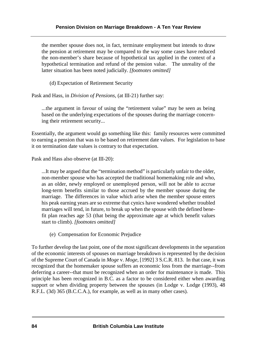the member spouse does not, in fact, terminate employment but intends to draw the pension at retirement may be compared to the way some cases have reduced the non-member's share because of hypothetical tax applied in the context of a hypothetical termination and refund of the pension value. The unreality of the latter situation has been noted judicially. *[footnotes omitted]*

(d) Expectation of Retirement Security

Pask and Hass, in *Division of Pensions*, (at III-21) further say:

...the argument in favour of using the "retirement value" may be seen as being based on the underlying expectations of the spouses during the marriage concerning their retirement security...

Essentially, the argument would go something like this: family resources were committed to earning a pension that was to be based on retirement date values. For legislation to base it on termination date values is contrary to that expectation.

Pask and Hass also observe (at III-20):

...It may be argued that the "termination method" is particularly unfair to the older, non-member spouse who has accepted the traditional homemaking role and who, as an older, newly employed or unemployed person, will not be able to accrue long-term benefits similar to those accrued by the member spouse during the marriage. The differences in value which arise when the member spouse enters his peak earning years are so extreme that cynics have wondered whether troubled marriages will tend, in future, to break up when the spouse with the defined benefit plan reaches age 53 (that being the approximate age at which benefit values start to climb). *[footnotes omitted]*

(e) Compensation for Economic Prejudice

To further develop the last point, one of the most significant developments in the separation of the economic interests of spouses on marriage breakdown is represented by the decision of the Supreme Court of Canada in *Moge* v. *Moge*, [1992] 3 S.C.R. 813. In that case, it was recognized that the homemaker spouse suffers an economic loss from the marriage--from deferring a career--that must be recognized when an order for maintenance is made. This principle has been recognized in B.C. as a factor to be considered either when awarding support or when dividing property between the spouses (in Lodge v. Lodge (1993), 48 R.F.L. (3d) 365 (B.C.C.A.), for example, as well as in many other cases).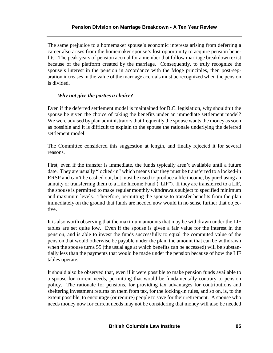The same prejudice to a homemaker spouse's economic interests arising from deferring a career also arises from the homemaker spouse's lost opportunity to acquire pension benefits. The peak years of pension accrual for a member that follow marriage breakdown exist because of the platform created by the marriage. Consequently, to truly recognize the spouse's interest in the pension in accordance with the Moge principles, then post-separation increases in the value of the marriage accruals must be recognized when the pension is divided.

## *Why not give the parties a choice?*

Even if the deferred settlement model is maintained for B.C. legislation, why shouldn't the spouse be given the choice of taking the benefits under an immediate settlement model? We were advised by plan administrators that frequently the spouse wants the money as soon as possible and it is difficult to explain to the spouse the rationale underlying the deferred settlement model.

The Committee considered this suggestion at length, and finally rejected it for several reasons.

First, even if the transfer is immediate, the funds typically aren't available until a future date. They are usually "locked-in" which means that they must be transferred to a locked-in RRSP and can't be cashed out, but must be used to produce a life income, by purchasing an annuity or transferring them to a Life Income Fund ("LIF"). If they are transferred to a LIF, the spouse is permitted to make regular monthly withdrawals subject to specified minimum and maximum levels. Therefore, permitting the spouse to transfer benefits from the plan immediately on the ground that funds are needed now would in no sense further that objective.

It is also worth observing that the maximum amounts that may be withdrawn under the LIF tables are set quite low. Even if the spouse is given a fair value for the interest in the pension, and is able to invest the funds successfully to equal the commuted value of the pension that would otherwise be payable under the plan, the amount that can be withdrawn when the spouse turns 55 (the usual age at which benefits can be accessed) will be substantially less than the payments that would be made under the pension because of how the LIF tables operate.

It should also be observed that, even if it were possible to make pension funds available to a spouse for current needs, permitting that would be fundamentally contrary to pension policy. The rationale for pensions, for providing tax advantages for contributions and sheltering investment returns on them from tax, for the locking-in rules, and so on, is, to the extent possible, to encourage (or require) people to save for their retirement. A spouse who needs money now for current needs may not be considering that money will also be needed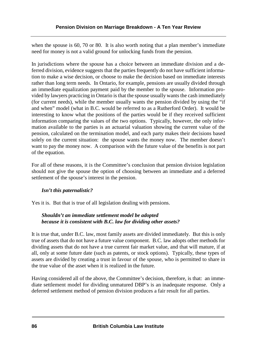when the spouse is 60, 70 or 80. It is also worth noting that a plan member's immediate need for money is not a valid ground for unlocking funds from the pension.

In jurisdictions where the spouse has a choice between an immediate division and a deferred division, evidence suggests that the parties frequently do not have sufficient information to make a wise decision, or choose to make the decision based on immediate interests rather than long term needs. In Ontario, for example, pensions are usually divided through an immediate equalization payment paid by the member to the spouse. Information provided by lawyers practicing in Ontario is that the spouse usually wants the cash immediately (for current needs), while the member usually wants the pension divided by using the "if and when" model (what in B.C. would be referred to as a Rutherford Order). It would be interesting to know what the positions of the parties would be if they received sufficient information comparing the values of the two options. Typically, however, the only information available to the parties is an actuarial valuation showing the current value of the pension, calculated on the termination model, and each party makes their decisions based solely on the current situation: the spouse wants the money now. The member doesn't want to pay the money now. A comparison with the future value of the benefits is not part of the equation.

For all of these reasons, it is the Committee's conclusion that pension division legislation should not give the spouse the option of choosing between an immediate and a deferred settlement of the spouse's interest in the pension.

## *Isn't this paternalistic?*

Yes it is. But that is true of all legislation dealing with pensions.

## *Shouldn't an immediate settlement model be adopted because it is consistent with B.C. law for dividing other assets?*

It is true that, under B.C. law, most family assets are divided immediately. But this is only true of assets that do not have a future value component. B.C. law adopts other methods for dividing assets that do not have a true current fair market value, and that will mature, if at all, only at some future date (such as patents, or stock options). Typically, these types of assets are divided by creating a trust in favour of the spouse, who is permitted to share in the true value of the asset when it is realized in the future.

Having considered all of the above, the Committee's decision, therefore, is that: an immediate settlement model for dividing unmatured DBP's is an inadequate response. Only a deferred settlement method of pension division produces a fair result for all parties.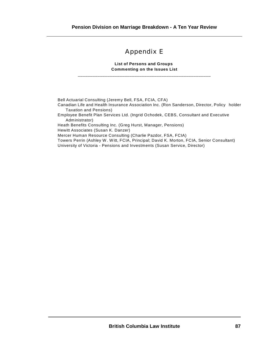## Appendix E

#### **List of Persons and Groups Commenting on the Issues List** \_\_\_\_\_\_\_\_\_\_\_\_\_\_\_\_\_\_\_\_\_\_\_\_\_\_\_\_\_\_\_\_\_\_\_\_\_\_\_\_\_\_\_\_\_\_\_\_\_\_\_\_\_\_

Bell Actuarial Consulting (Jeremy Bell, FSA, FCIA, CFA) Canadian Life and Health Insurance Association Inc. (Ron Sanderson, Director, Policy holder

Taxation and Pensions) Employee Benefit Plan Services Ltd. (Ingrid Ochodek, CEBS, Consultant and Executive

Administrator)

Heath Benefits Consulting Inc. (Greg Hurst, Manager, Pensions)

Hewitt Associates (Susan K. Danzer)

Mercer Human Resource Consulting (Charlie Pazdor, FSA, FCIA)

Towers Perrin (Ashley W . Witt, FCIA, Principal; David K. Morton, FCIA, Senior Consultant) University of Victoria - Pensions and Investments (Susan Service, Director)